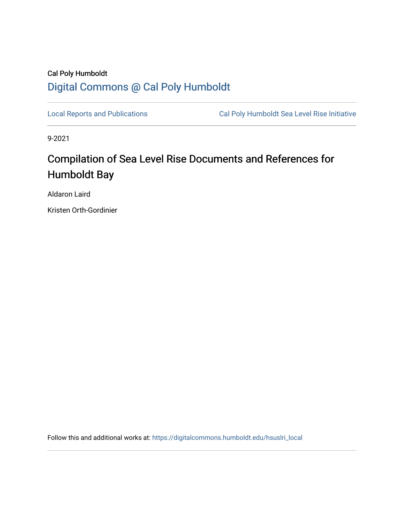### Cal Poly Humboldt [Digital Commons @ Cal Poly Humboldt](https://digitalcommons.humboldt.edu/)

[Local Reports and Publications](https://digitalcommons.humboldt.edu/hsuslri_local) **Cal Poly Humboldt Sea Level Rise Initiative** 

9-2021

# Compilation of Sea Level Rise Documents and References for Humboldt Bay

Aldaron Laird

Kristen Orth-Gordinier

Follow this and additional works at: [https://digitalcommons.humboldt.edu/hsuslri\\_local](https://digitalcommons.humboldt.edu/hsuslri_local?utm_source=digitalcommons.humboldt.edu%2Fhsuslri_local%2F39&utm_medium=PDF&utm_campaign=PDFCoverPages)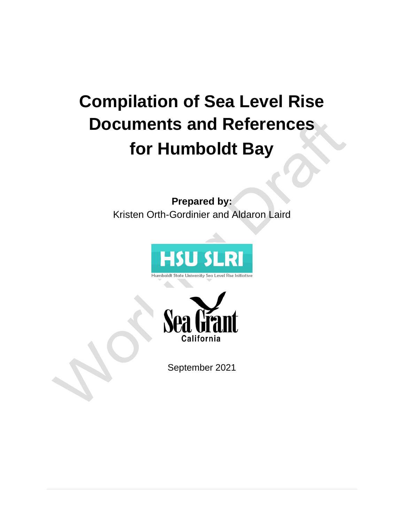# **Compilation of Sea Level Rise Documents and References for Humboldt Bay**

**Prepared by:** Kristen Orth-Gordinier and Aldaron Laird







September 2021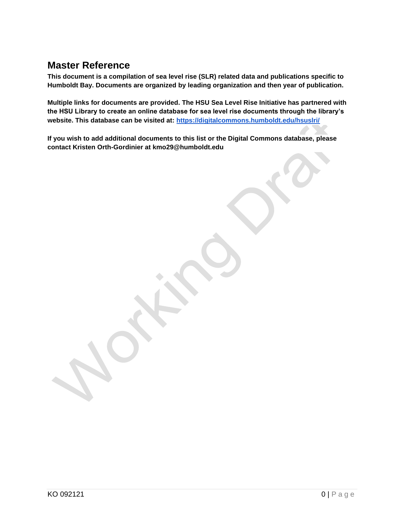### **Master Reference**

**This document is a compilation of sea level rise (SLR) related data and publications specific to Humboldt Bay. Documents are organized by leading organization and then year of publication.** 

**Multiple links for documents are provided. The HSU Sea Level Rise Initiative has partnered with the HSU Library to create an online database for sea level rise documents through the library's website. This database can be visited at:<https://digitalcommons.humboldt.edu/hsuslri/>**

**If you wish to add additional documents to this list or the Digital Commons database, please contact Kristen Orth-Gordinier at kmo29@humboldt.edu**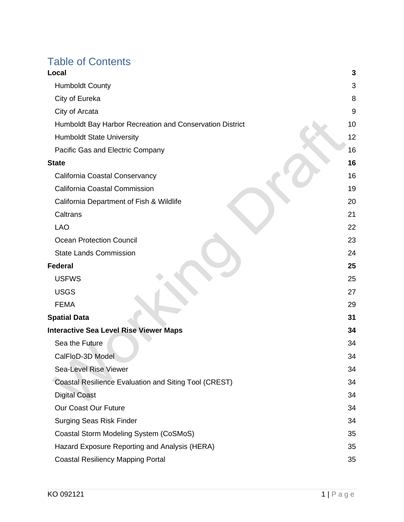# Table of Contents

| Local                                                    | 3  |
|----------------------------------------------------------|----|
| <b>Humboldt County</b>                                   | 3  |
| City of Eureka                                           | 8  |
| City of Arcata                                           | 9  |
| Humboldt Bay Harbor Recreation and Conservation District | 10 |
| <b>Humboldt State University</b>                         | 12 |
| Pacific Gas and Electric Company                         | 16 |
| <b>State</b>                                             | 16 |
| California Coastal Conservancy                           | 16 |
| California Coastal Commission                            | 19 |
| California Department of Fish & Wildlife                 | 20 |
| Caltrans                                                 | 21 |
| <b>LAO</b>                                               | 22 |
| <b>Ocean Protection Council</b>                          | 23 |
| <b>State Lands Commission</b>                            | 24 |
| Federal                                                  | 25 |
| <b>USFWS</b>                                             | 25 |
| <b>USGS</b>                                              | 27 |
| <b>FEMA</b>                                              | 29 |
| <b>Spatial Data</b>                                      | 31 |
| <b>Interactive Sea Level Rise Viewer Maps</b>            | 34 |
| Sea the Future                                           | 34 |
| CalFloD-3D Model                                         | 34 |
| <b>Sea-Level Rise Viewer</b>                             | 34 |
| Coastal Resilience Evaluation and Siting Tool (CREST)    | 34 |
| <b>Digital Coast</b>                                     | 34 |
| Our Coast Our Future                                     | 34 |
| <b>Surging Seas Risk Finder</b>                          | 34 |
| Coastal Storm Modeling System (CoSMoS)                   | 35 |
| Hazard Exposure Reporting and Analysis (HERA)            | 35 |
| <b>Coastal Resiliency Mapping Portal</b>                 | 35 |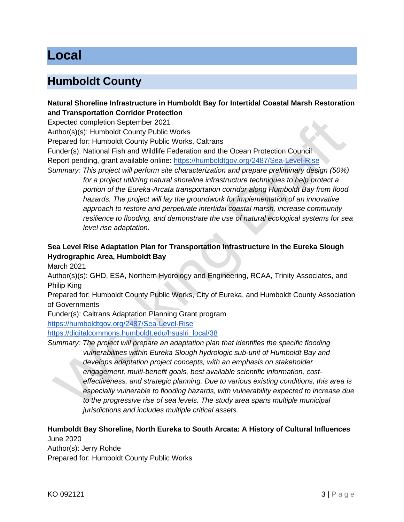# <span id="page-5-0"></span>**Local**

### <span id="page-5-1"></span>**Humboldt County**

#### **Natural Shoreline Infrastructure in Humboldt Bay for Intertidal Coastal Marsh Restoration and Transportation Corridor Protection**

Expected completion September 2021

Author(s)(s): Humboldt County Public Works

Prepared for: Humboldt County Public Works, Caltrans

Funder(s): National Fish and Wildlife Federation and the Ocean Protection Council

Report pending, grant available online:<https://humboldtgov.org/2487/Sea-Level-Rise>

*Summary: This project will perform site characterization and prepare preliminary design (50%) for a project utilizing natural shoreline infrastructure techniques to help protect a portion of the Eureka-Arcata transportation corridor along Humboldt Bay from flood hazards. The project will lay the groundwork for implementation of an innovative approach to restore and perpetuate intertidal coastal marsh, increase community resilience to flooding, and demonstrate the use of natural ecological systems for sea level rise adaptation.*

#### **Sea Level Rise Adaptation Plan for Transportation Infrastructure in the Eureka Slough Hydrographic Area, Humboldt Bay**

March 2021

Author(s)(s): GHD, ESA, Northern Hydrology and Engineering, RCAA, Trinity Associates, and Philip King

Prepared for: Humboldt County Public Works, City of Eureka, and Humboldt County Association of Governments

Funder(s): Caltrans Adaptation Planning Grant program <https://humboldtgov.org/2487/Sea-Level-Rise>

[https://digitalcommons.humboldt.edu/hsuslri\\_local/38](https://digitalcommons.humboldt.edu/hsuslri_local/38)

*Summary: The project will prepare an adaptation plan that identifies the specific flooding vulnerabilities within Eureka Slough hydrologic sub-unit of Humboldt Bay and develops adaptation project concepts, with an emphasis on stakeholder engagement, multi-benefit goals, best available scientific information, costeffectiveness, and strategic planning. Due to various existing conditions, this area is especially vulnerable to flooding hazards, with vulnerability expected to increase due to the progressive rise of sea levels. The study area spans multiple municipal jurisdictions and includes multiple critical assets.* 

# **Humboldt Bay Shoreline, North Eureka to South Arcata: A History of Cultural Influences**

June 2020 Author(s): Jerry Rohde Prepared for: Humboldt County Public Works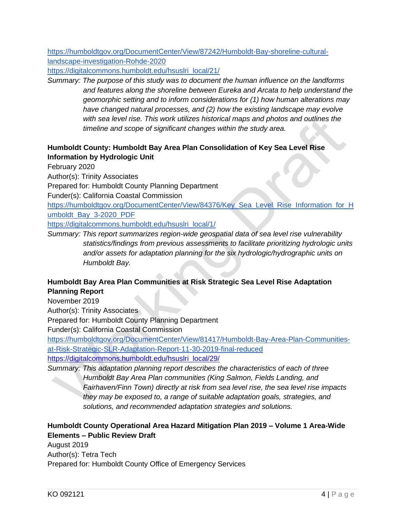[https://humboldtgov.org/DocumentCenter/View/87242/Humboldt-Bay-shoreline-cultural](https://humboldtgov.org/DocumentCenter/View/87242/Humboldt-Bay-shoreline-cultural-landscape-investigation-Rohde-2020)[landscape-investigation-Rohde-2020](https://humboldtgov.org/DocumentCenter/View/87242/Humboldt-Bay-shoreline-cultural-landscape-investigation-Rohde-2020)

[https://digitalcommons.humboldt.edu/hsuslri\\_local/21/](https://digitalcommons.humboldt.edu/hsuslri_local/21/)

*Summary: The purpose of this study was to document the human influence on the landforms and features along the shoreline between Eureka and Arcata to help understand the geomorphic setting and to inform considerations for (1) how human alterations may have changed natural processes, and (2) how the existing landscape may evolve with sea level rise. This work utilizes historical maps and photos and outlines the timeline and scope of significant changes within the study area.* 

#### **Humboldt County: Humboldt Bay Area Plan Consolidation of Key Sea Level Rise Information by Hydrologic Unit**

February 2020

Author(s): Trinity Associates

Prepared for: Humboldt County Planning Department

Funder(s): California Coastal Commission

[https://humboldtgov.org/DocumentCenter/View/84376/Key\\_Sea\\_Level\\_Rise\\_Information\\_for\\_H](https://humboldtgov.org/DocumentCenter/View/84376/Key_Sea_Level_Rise_Information_for_Humboldt_Bay_3-2020_PDF) [umboldt\\_Bay\\_3-2020\\_PDF](https://humboldtgov.org/DocumentCenter/View/84376/Key_Sea_Level_Rise_Information_for_Humboldt_Bay_3-2020_PDF)

[https://digitalcommons.humboldt.edu/hsuslri\\_local/1/](https://digitalcommons.humboldt.edu/hsuslri_local/1/)

*Summary: This report summarizes region-wide geospatial data of sea level rise vulnerability statistics/findings from previous assessments to facilitate prioritizing hydrologic units and/or assets for adaptation planning for the six hydrologic/hydrographic units on Humboldt Bay.* 

#### **Humboldt Bay Area Plan Communities at Risk Strategic Sea Level Rise Adaptation Planning Report**

November 2019

Author(s): Trinity Associates

Prepared for: Humboldt County Planning Department

Funder(s): California Coastal Commission

[https://humboldtgov.org/DocumentCenter/View/81417/Humboldt-Bay-Area-Plan-Communities](https://humboldtgov.org/DocumentCenter/View/81417/Humboldt-Bay-Area-Plan-Communities-at-Risk-Strategic-SLR-Adaptation-Report-11-30-2019-final-reduced)[at-Risk-Strategic-SLR-Adaptation-Report-11-30-2019-final-reduced](https://humboldtgov.org/DocumentCenter/View/81417/Humboldt-Bay-Area-Plan-Communities-at-Risk-Strategic-SLR-Adaptation-Report-11-30-2019-final-reduced)

[https://digitalcommons.humboldt.edu/hsuslri\\_local/29/](https://digitalcommons.humboldt.edu/hsuslri_local/29/)

*Summary: This adaptation planning report describes the characteristics of each of three Humboldt Bay Area Plan communities (King Salmon, Fields Landing, and Fairhaven/Finn Town) directly at risk from sea level rise, the sea level rise impacts they may be exposed to, a range of suitable adaptation goals, strategies, and solutions, and recommended adaptation strategies and solutions.*

#### **Humboldt County Operational Area Hazard Mitigation Plan 2019 – Volume 1 Area-Wide Elements – Public Review Draft**

August 2019 Author(s): Tetra Tech Prepared for: Humboldt County Office of Emergency Services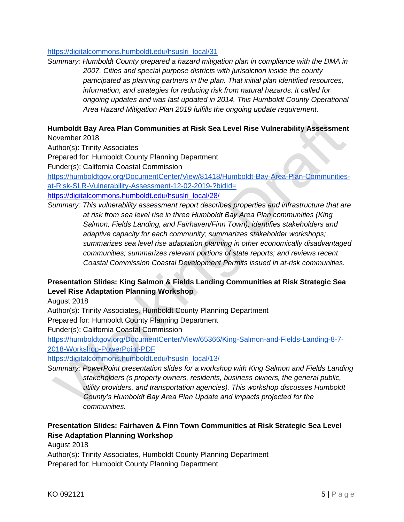#### [https://digitalcommons.humboldt.edu/hsuslri\\_local/31](https://digitalcommons.humboldt.edu/hsuslri_local/31)

*Summary: Humboldt County prepared a hazard mitigation plan in compliance with the DMA in 2007. Cities and special purpose districts with jurisdiction inside the county participated as planning partners in the plan. That initial plan identified resources, information, and strategies for reducing risk from natural hazards. It called for ongoing updates and was last updated in 2014. This Humboldt County Operational Area Hazard Mitigation Plan 2019 fulfills the ongoing update requirement.*

#### **Humboldt Bay Area Plan Communities at Risk Sea Level Rise Vulnerability Assessment** November 2018

Author(s): Trinity Associates

Prepared for: Humboldt County Planning Department

Funder(s): California Coastal Commission

[https://humboldtgov.org/DocumentCenter/View/81418/Humboldt-Bay-Area-Plan-Communities](https://humboldtgov.org/DocumentCenter/View/81418/Humboldt-Bay-Area-Plan-Communities-at-Risk-SLR-Vulnerability-Assessment-12-02-2019-?bidId=)[at-Risk-SLR-Vulnerability-Assessment-12-02-2019-?bidId=](https://humboldtgov.org/DocumentCenter/View/81418/Humboldt-Bay-Area-Plan-Communities-at-Risk-SLR-Vulnerability-Assessment-12-02-2019-?bidId=)

[https://digitalcommons.humboldt.edu/hsuslri\\_local/28/](https://digitalcommons.humboldt.edu/hsuslri_local/28/)

*Summary: This vulnerability assessment report describes properties and infrastructure that are at risk from sea level rise in three Humboldt Bay Area Plan communities (King Salmon, Fields Landing, and Fairhaven/Finn Town); identifies stakeholders and adaptive capacity for each community; summarizes stakeholder workshops; summarizes sea level rise adaptation planning in other economically disadvantaged communities; summarizes relevant portions of state reports; and reviews recent Coastal Commission Coastal Development Permits issued in at-risk communities.*

#### **Presentation Slides: King Salmon & Fields Landing Communities at Risk Strategic Sea Level Rise Adaptation Planning Workshop**

August 2018

Author(s): Trinity Associates, Humboldt County Planning Department

Prepared for: Humboldt County Planning Department

Funder(s): California Coastal Commission

[https://humboldtgov.org/DocumentCenter/View/65366/King-Salmon-and-Fields-Landing-8-7-](https://humboldtgov.org/DocumentCenter/View/65366/King-Salmon-and-Fields-Landing-8-7-2018-Workshop-PowerPoint-PDF) [2018-Workshop-PowerPoint-PDF](https://humboldtgov.org/DocumentCenter/View/65366/King-Salmon-and-Fields-Landing-8-7-2018-Workshop-PowerPoint-PDF)

[https://digitalcommons.humboldt.edu/hsuslri\\_local/13/](https://digitalcommons.humboldt.edu/hsuslri_local/13/)

*Summary: PowerPoint presentation slides for a workshop with King Salmon and Fields Landing stakeholders (s property owners, residents, business owners, the general public, utility providers, and transportation agencies). This workshop discusses Humboldt County's Humboldt Bay Area Plan Update and impacts projected for the communities.* 

#### **Presentation Slides: Fairhaven & Finn Town Communities at Risk Strategic Sea Level Rise Adaptation Planning Workshop**

August 2018

Author(s): Trinity Associates, Humboldt County Planning Department Prepared for: Humboldt County Planning Department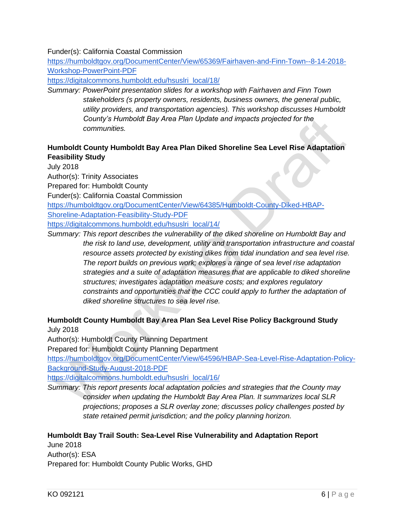#### Funder(s): California Coastal Commission

[https://humboldtgov.org/DocumentCenter/View/65369/Fairhaven-and-Finn-Town--8-14-2018-](https://humboldtgov.org/DocumentCenter/View/65369/Fairhaven-and-Finn-Town--8-14-2018-Workshop-PowerPoint-PDF) [Workshop-PowerPoint-PDF](https://humboldtgov.org/DocumentCenter/View/65369/Fairhaven-and-Finn-Town--8-14-2018-Workshop-PowerPoint-PDF)

[https://digitalcommons.humboldt.edu/hsuslri\\_local/18/](https://digitalcommons.humboldt.edu/hsuslri_local/18/)

*Summary: PowerPoint presentation slides for a workshop with Fairhaven and Finn Town stakeholders (s property owners, residents, business owners, the general public, utility providers, and transportation agencies). This workshop discusses Humboldt County's Humboldt Bay Area Plan Update and impacts projected for the communities.* 

#### **Humboldt County Humboldt Bay Area Plan Diked Shoreline Sea Level Rise Adaptation Feasibility Study**

July 2018

Author(s): Trinity Associates

Prepared for: Humboldt County

Funder(s): California Coastal Commission

[https://humboldtgov.org/DocumentCenter/View/64385/Humboldt-County-Diked-HBAP-](https://humboldtgov.org/DocumentCenter/View/64385/Humboldt-County-Diked-HBAP-Shoreline-Adaptation-Feasibility-Study-PDF)

[Shoreline-Adaptation-Feasibility-Study-PDF](https://humboldtgov.org/DocumentCenter/View/64385/Humboldt-County-Diked-HBAP-Shoreline-Adaptation-Feasibility-Study-PDF)

[https://digitalcommons.humboldt.edu/hsuslri\\_local/14/](https://digitalcommons.humboldt.edu/hsuslri_local/14/)

*Summary: This report describes the vulnerability of the diked shoreline on Humboldt Bay and the risk to land use, development, utility and transportation infrastructure and coastal resource assets protected by existing dikes from tidal inundation and sea level rise. The report builds on previous work; explores a range of sea level rise adaptation strategies and a suite of adaptation measures that are applicable to diked shoreline structures; investigates adaptation measure costs; and explores regulatory constraints and opportunities that the CCC could apply to further the adaptation of diked shoreline structures to sea level rise.* 

#### **Humboldt County Humboldt Bay Area Plan Sea Level Rise Policy Background Study**

July 2018

Author(s): Humboldt County Planning Department

Prepared for: Humboldt County Planning Department

[https://humboldtgov.org/DocumentCenter/View/64596/HBAP-Sea-Level-Rise-Adaptation-Policy-](https://humboldtgov.org/DocumentCenter/View/64596/HBAP-Sea-Level-Rise-Adaptation-Policy-Background-Study-August-2018-PDF)[Background-Study-August-2018-PDF](https://humboldtgov.org/DocumentCenter/View/64596/HBAP-Sea-Level-Rise-Adaptation-Policy-Background-Study-August-2018-PDF)

[https://digitalcommons.humboldt.edu/hsuslri\\_local/16/](https://digitalcommons.humboldt.edu/hsuslri_local/16/)

*Summary: This report presents local adaptation policies and strategies that the County may consider when updating the Humboldt Bay Area Plan. It summarizes local SLR projections; proposes a SLR overlay zone; discusses policy challenges posted by state retained permit jurisdiction; and the policy planning horizon.* 

#### **Humboldt Bay Trail South: Sea-Level Rise Vulnerability and Adaptation Report**

June 2018 Author(s): ESA Prepared for: Humboldt County Public Works, GHD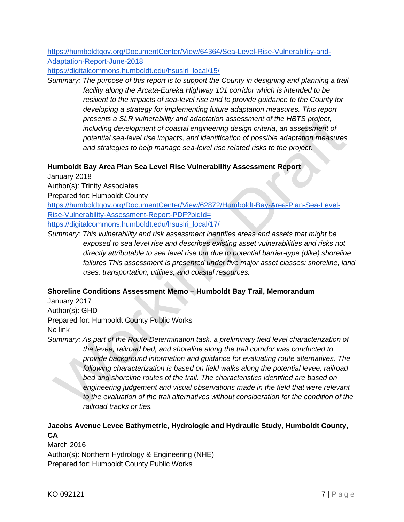[https://humboldtgov.org/DocumentCenter/View/64364/Sea-Level-Rise-Vulnerability-and-](https://humboldtgov.org/DocumentCenter/View/64364/Sea-Level-Rise-Vulnerability-and-Adaptation-Report-June-2018)[Adaptation-Report-June-2018](https://humboldtgov.org/DocumentCenter/View/64364/Sea-Level-Rise-Vulnerability-and-Adaptation-Report-June-2018)

[https://digitalcommons.humboldt.edu/hsuslri\\_local/15/](https://digitalcommons.humboldt.edu/hsuslri_local/15/)

*Summary: The purpose of this report is to support the County in designing and planning a trail facility along the Arcata-Eureka Highway 101 corridor which is intended to be resilient to the impacts of sea-level rise and to provide guidance to the County for developing a strategy for implementing future adaptation measures. This report presents a SLR vulnerability and adaptation assessment of the HBTS project, including development of coastal engineering design criteria, an assessment of potential sea-level rise impacts, and identification of possible adaptation measures and strategies to help manage sea-level rise related risks to the project.* 

#### **Humboldt Bay Area Plan Sea Level Rise Vulnerability Assessment Report**

January 2018

Author(s): Trinity Associates

Prepared for: Humboldt County

[https://humboldtgov.org/DocumentCenter/View/62872/Humboldt-Bay-Area-Plan-Sea-Level-](https://humboldtgov.org/DocumentCenter/View/62872/Humboldt-Bay-Area-Plan-Sea-Level-Rise-Vulnerability-Assessment-Report-PDF?bidId=)[Rise-Vulnerability-Assessment-Report-PDF?bidId=](https://humboldtgov.org/DocumentCenter/View/62872/Humboldt-Bay-Area-Plan-Sea-Level-Rise-Vulnerability-Assessment-Report-PDF?bidId=)

[https://digitalcommons.humboldt.edu/hsuslri\\_local/17/](https://digitalcommons.humboldt.edu/hsuslri_local/17/)

*Summary: This vulnerability and risk assessment identifies areas and assets that might be exposed to sea level rise and describes existing asset vulnerabilities and risks not directly attributable to sea level rise but due to potential barrier-type (dike) shoreline*  failures This assessment is presented under five major asset classes: shoreline, land *uses, transportation, utilities, and coastal resources.* 

#### **Shoreline Conditions Assessment Memo – Humboldt Bay Trail, Memorandum**

January 2017 Author(s): GHD Prepared for: Humboldt County Public Works No link

*Summary: As part of the Route Determination task, a preliminary field level characterization of the levee, railroad bed, and shoreline along the trail corridor was conducted to provide background information and guidance for evaluating route alternatives. The following characterization is based on field walks along the potential levee, railroad bed and shoreline routes of the trail. The characteristics identified are based on engineering judgement and visual observations made in the field that were relevant to the evaluation of the trail alternatives without consideration for the condition of the railroad tracks or ties.*

#### **Jacobs Avenue Levee Bathymetric, Hydrologic and Hydraulic Study, Humboldt County, CA**

March 2016 Author(s): Northern Hydrology & Engineering (NHE) Prepared for: Humboldt County Public Works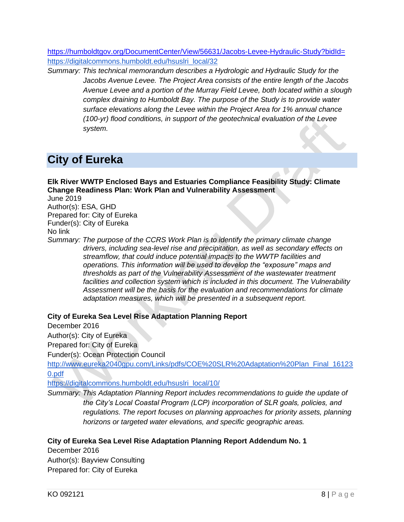<https://humboldtgov.org/DocumentCenter/View/56631/Jacobs-Levee-Hydraulic-Study?bidId=> [https://digitalcommons.humboldt.edu/hsuslri\\_local/32](https://digitalcommons.humboldt.edu/hsuslri_local/32)

*Summary: This technical memorandum describes a Hydrologic and Hydraulic Study for the Jacobs Avenue Levee. The Project Area consists of the entire length of the Jacobs Avenue Levee and a portion of the Murray Field Levee, both located within a slough complex draining to Humboldt Bay. The purpose of the Study is to provide water surface elevations along the Levee within the Project Area for 1% annual chance (100-yr) flood conditions, in support of the geotechnical evaluation of the Levee system.*

### <span id="page-10-0"></span>**City of Eureka**

**Elk River WWTP Enclosed Bays and Estuaries Compliance Feasibility Study: Climate Change Readiness Plan: Work Plan and Vulnerability Assessment**

June 2019 Author(s): ESA, GHD Prepared for: City of Eureka

Funder(s): City of Eureka

No link

*Summary: The purpose of the CCRS Work Plan is to identify the primary climate change drivers, including sea-level rise and precipitation, as well as secondary effects on streamflow, that could induce potential impacts to the WWTP facilities and operations. This information will be used to develop the "exposure" maps and thresholds as part of the Vulnerability Assessment of the wastewater treatment facilities and collection system which is included in this document. The Vulnerability Assessment will be the basis for the evaluation and recommendations for climate adaptation measures, which will be presented in a subsequent report.*

#### **City of Eureka Sea Level Rise Adaptation Planning Report**

December 2016

Author(s): City of Eureka Prepared for: City of Eureka

Funder(s): Ocean Protection Council

[http://www.eureka2040gpu.com/Links/pdfs/COE%20SLR%20Adaptation%20Plan\\_Final\\_16123](http://www.eureka2040gpu.com/Links/pdfs/COE%20SLR%20Adaptation%20Plan_Final_161230.pdf) [0.pdf](http://www.eureka2040gpu.com/Links/pdfs/COE%20SLR%20Adaptation%20Plan_Final_161230.pdf)

[https://digitalcommons.humboldt.edu/hsuslri\\_local/10/](https://digitalcommons.humboldt.edu/hsuslri_local/10/)

*Summary: This Adaptation Planning Report includes recommendations to guide the update of the City's Local Coastal Program (LCP) incorporation of SLR goals, policies, and regulations. The report focuses on planning approaches for priority assets, planning horizons or targeted water elevations, and specific geographic areas.* 

#### **City of Eureka Sea Level Rise Adaptation Planning Report Addendum No. 1**

December 2016 Author(s): Bayview Consulting Prepared for: City of Eureka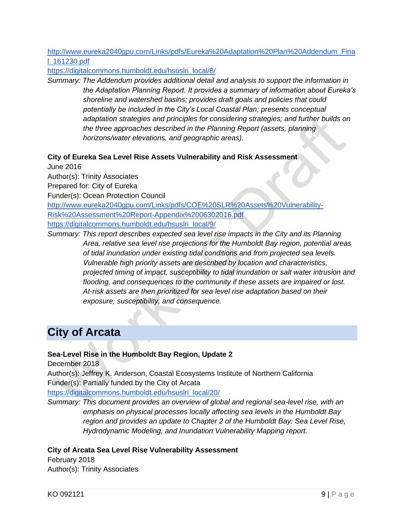[http://www.eureka2040gpu.com/Links/pdfs/Eureka%20Adaptation%20Plan%20Addendum\\_Fina](http://www.eureka2040gpu.com/Links/pdfs/Eureka%20Adaptation%20Plan%20Addendum_Final_161230.pdf) [l\\_161230.pdf](http://www.eureka2040gpu.com/Links/pdfs/Eureka%20Adaptation%20Plan%20Addendum_Final_161230.pdf)

[https://digitalcommons.humboldt.edu/hsuslri\\_local/8/](https://digitalcommons.humboldt.edu/hsuslri_local/8/)

*Summary: The Addendum provides additional detail and analysis to support the information in the Adaptation Planning Report. It provides a summary of information about Eureka's shoreline and watershed basins; provides draft goals and policies that could potentially be included in the City's Local Coastal Plan; presents conceptual adaptation strategies and principles for considering strategies; and further builds on the three approaches described in the Planning Report (assets, planning horizons/water elevations, and geographic areas).*

#### **City of Eureka Sea Level Rise Assets Vulnerability and Risk Assessment**

June 2016

Author(s): Trinity Associates

Prepared for: City of Eureka

Funder(s): Ocean Protection Council

[http://www.eureka2040gpu.com/Links/pdfs/COE%20SLR%20Assets%20Vulnerability-](http://www.eureka2040gpu.com/Links/pdfs/COE%20SLR%20Assets%20Vulnerability-Risk%20Assessment%20Report-Appendix%2006302016.pdf)[Risk%20Assessment%20Report-Appendix%2006302016.pdf](http://www.eureka2040gpu.com/Links/pdfs/COE%20SLR%20Assets%20Vulnerability-Risk%20Assessment%20Report-Appendix%2006302016.pdf) [https://digitalcommons.humboldt.edu/hsuslri\\_local/9/](https://digitalcommons.humboldt.edu/hsuslri_local/9/)

*Summary: This report describes expected sea level rise impacts in the City and its Planning Area, relative sea level rise projections for the Humboldt Bay region, potential areas of tidal inundation under existing tidal conditions and from projected sea levels. Vulnerable high priority assets are described by location and characteristics, projected timing of impact, susceptibility to tidal inundation or salt water intrusion and flooding, and consequences to the community if these assets are impaired or lost. At-risk assets are then prioritized for sea level rise adaptation based on their exposure, susceptibility, and consequence.*

### <span id="page-11-0"></span>**City of Arcata**

#### **Sea-Level Rise in the Humboldt Bay Region, Update 2**

December 2018

Author(s): Jeffrey K. Anderson, Coastal Ecosystems Institute of Northern California Funder(s): Partially funded by the City of Arcata

[https://digitalcommons.humboldt.edu/hsuslri\\_local/20/](https://digitalcommons.humboldt.edu/hsuslri_local/20/)

*Summary: This document provides an overview of global and regional sea-level rise, with an emphasis on physical processes locally affecting sea levels in the Humboldt Bay region and provides an update to Chapter 2 of the Humboldt Bay: Sea Level Rise, Hydrodynamic Modeling, and Inundation Vulnerability Mapping report.*

#### **City of Arcata Sea Level Rise Vulnerability Assessment**

February 2018 Author(s): Trinity Associates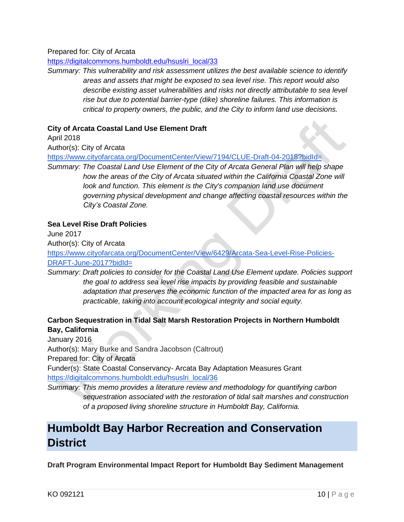Prepared for: City of Arcata

[https://digitalcommons.humboldt.edu/hsuslri\\_local/33](https://digitalcommons.humboldt.edu/hsuslri_local/33)

*Summary: This vulnerability and risk assessment utilizes the best available science to identify areas and assets that might be exposed to sea level rise. This report would also describe existing asset vulnerabilities and risks not directly attributable to sea level rise but due to potential barrier-type (dike) shoreline failures. This information is critical to property owners, the public, and the City to inform land use decisions.*

#### **City of Arcata Coastal Land Use Element Draft**

April 2018

Author(s): City of Arcata

<https://www.cityofarcata.org/DocumentCenter/View/7194/CLUE-Draft-04-2018?bidId=>

*Summary: The Coastal Land Use Element of the City of Arcata General Plan will help shape*  how the areas of the City of Arcata situated within the California Coastal Zone will look and function. This element is the City's companion land use document *governing physical development and change affecting coastal resources within the City's Coastal Zone.*

#### **Sea Level Rise Draft Policies**

June 2017

Author(s): City of Arcata

[https://www.cityofarcata.org/DocumentCenter/View/6429/Arcata-Sea-Level-Rise-Policies-](https://www.cityofarcata.org/DocumentCenter/View/6429/Arcata-Sea-Level-Rise-Policies-DRAFT-June-2017?bidId=)[DRAFT-June-2017?bidId=](https://www.cityofarcata.org/DocumentCenter/View/6429/Arcata-Sea-Level-Rise-Policies-DRAFT-June-2017?bidId=)

*Summary: Draft policies to consider for the Coastal Land Use Element update. Policies support the goal to address sea level rise impacts by providing feasible and sustainable adaptation that preserves the economic function of the impacted area for as long as practicable, taking into account ecological integrity and social equity.*

#### **Carbon Sequestration in Tidal Salt Marsh Restoration Projects in Northern Humboldt Bay, California**

January 2016 Author(s): Mary Burke and Sandra Jacobson (Caltrout) Prepared for: City of Arcata Funder(s): State Coastal Conservancy- Arcata Bay Adaptation Measures Grant [https://digitalcommons.humboldt.edu/hsuslri\\_local/36](https://digitalcommons.humboldt.edu/hsuslri_local/36)

*Summary: This memo provides a literature review and methodology for quantifying carbon sequestration associated with the restoration of tidal salt marshes and construction of a proposed living shoreline structure in Humboldt Bay, California.*

### <span id="page-12-0"></span>**Humboldt Bay Harbor Recreation and Conservation District**

**Draft Program Environmental Impact Report for Humboldt Bay Sediment Management**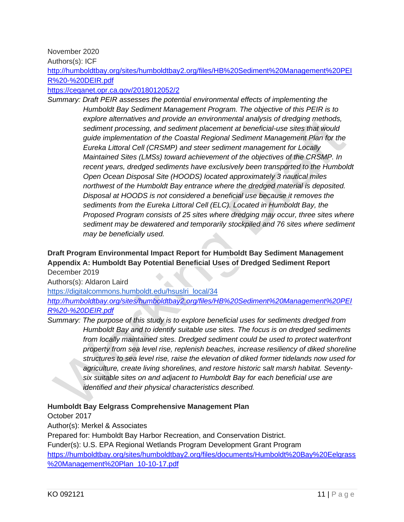November 2020

Authors(s): ICF

[http://humboldtbay.org/sites/humboldtbay2.org/files/HB%20Sediment%20Management%20PEI](http://humboldtbay.org/sites/humboldtbay2.org/files/HB%20Sediment%20Management%20PEIR%20-%20DEIR.pdf) [R%20-%20DEIR.pdf](http://humboldtbay.org/sites/humboldtbay2.org/files/HB%20Sediment%20Management%20PEIR%20-%20DEIR.pdf)

<https://ceqanet.opr.ca.gov/2018012052/2>

*Summary: Draft PEIR assesses the potential environmental effects of implementing the Humboldt Bay Sediment Management Program. The objective of this PEIR is to explore alternatives and provide an environmental analysis of dredging methods, sediment processing, and sediment placement at beneficial-use sites that would guide implementation of the Coastal Regional Sediment Management Plan for the Eureka Littoral Cell (CRSMP) and steer sediment management for Locally Maintained Sites (LMSs) toward achievement of the objectives of the CRSMP. In recent years, dredged sediments have exclusively been transported to the Humboldt Open Ocean Disposal Site (HOODS) located approximately 3 nautical miles northwest of the Humboldt Bay entrance where the dredged material is deposited. Disposal at HOODS is not considered a beneficial use because it removes the sediments from the Eureka Littoral Cell (ELC). Located in Humboldt Bay, the Proposed Program consists of 25 sites where dredging may occur, three sites where sediment may be dewatered and temporarily stockpiled and 76 sites where sediment may be beneficially used.*

#### **Draft Program Environmental Impact Report for Humboldt Bay Sediment Management Appendix A: Humboldt Bay Potential Beneficial Uses of Dredged Sediment Report** December 2019

Authors(s): Aldaron Laird

[https://digitalcommons.humboldt.edu/hsuslri\\_local/34](https://digitalcommons.humboldt.edu/hsuslri_local/34) *[http://humboldtbay.org/sites/humboldtbay2.org/files/HB%20Sediment%20Management%20PEI](http://humboldtbay.org/sites/humboldtbay2.org/files/HB%20Sediment%20Management%20PEIR%20-%20DEIR.pdf)*

*[R%20-%20DEIR.pdf](http://humboldtbay.org/sites/humboldtbay2.org/files/HB%20Sediment%20Management%20PEIR%20-%20DEIR.pdf)*

*Summary: The purpose of this study is to explore beneficial uses for sediments dredged from Humboldt Bay and to identify suitable use sites. The focus is on dredged sediments from locally maintained sites. Dredged sediment could be used to protect waterfront property from sea level rise, replenish beaches, increase resiliency of diked shoreline structures to sea level rise, raise the elevation of diked former tidelands now used for agriculture, create living shorelines, and restore historic salt marsh habitat. Seventysix suitable sites on and adjacent to Humboldt Bay for each beneficial use are identified and their physical characteristics described.*

#### **Humboldt Bay Eelgrass Comprehensive Management Plan**

October 2017

Author(s): Merkel & Associates

Prepared for: Humboldt Bay Harbor Recreation, and Conservation District. Funder(s): U.S. EPA Regional Wetlands Program Development Grant Program [https://humboldtbay.org/sites/humboldtbay2.org/files/documents/Humboldt%20Bay%20Eelgrass](https://humboldtbay.org/sites/humboldtbay2.org/files/documents/Humboldt%20Bay%20Eelgrass%20Management%20Plan_10-10-17.pdf) [%20Management%20Plan\\_10-10-17.pdf](https://humboldtbay.org/sites/humboldtbay2.org/files/documents/Humboldt%20Bay%20Eelgrass%20Management%20Plan_10-10-17.pdf)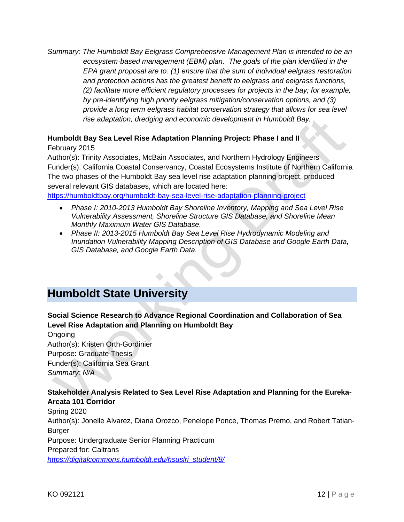*Summary: The Humboldt Bay Eelgrass Comprehensive Management Plan is intended to be an ecosystem*‐*based management (EBM) plan. The goals of the plan identified in the EPA grant proposal are to: (1) ensure that the sum of individual eelgrass restoration and protection actions has the greatest benefit to eelgrass and eelgrass functions, (2) facilitate more efficient regulatory processes for projects in the bay; for example, by pre-identifying high priority eelgrass mitigation/conservation options, and (3) provide a long term eelgrass habitat conservation strategy that allows for sea level rise adaptation, dredging and economic development in Humboldt Bay.*

#### **Humboldt Bay Sea Level Rise Adaptation Planning Project: Phase I and II**

February 2015

Author(s): Trinity Associates, McBain Associates, and Northern Hydrology Engineers Funder(s): California Coastal Conservancy, Coastal Ecosystems Institute of Northern California The two phases of the Humboldt Bay sea level rise adaptation planning project, produced several relevant GIS databases, which are located here: <https://humboldtbay.org/humboldt-bay-sea-level-rise-adaptation-planning-project>

- *Phase I: 2010-2013 Humboldt Bay Shoreline Inventory, Mapping and Sea Level Rise Vulnerability Assessment, Shoreline Structure GIS Database, and Shoreline Mean Monthly Maximum Water GIS Database.*
- *Phase II: 2013-2015 Humboldt Bay Sea Level Rise Hydrodynamic Modeling and Inundation Vulnerability Mapping Description of GIS Database and Google Earth Data, GIS Database, and Google Earth Data.*

### <span id="page-14-0"></span>**Humboldt State University**

#### **Social Science Research to Advance Regional Coordination and Collaboration of Sea Level Rise Adaptation and Planning on Humboldt Bay**

Ongoing Author(s): Kristen Orth-Gordinier Purpose: Graduate Thesis Funder(s): California Sea Grant *Summary: N/A*

#### **Stakeholder Analysis Related to Sea Level Rise Adaptation and Planning for the Eureka-Arcata 101 Corridor**

Spring 2020 Author(s): Jonelle Alvarez, Diana Orozco, Penelope Ponce, Thomas Premo, and Robert Tatian-Burger Purpose: Undergraduate Senior Planning Practicum Prepared for: Caltrans *[https://digitalcommons.humboldt.edu/hsuslri\\_student/8/](https://digitalcommons.humboldt.edu/hsuslri_student/8/)*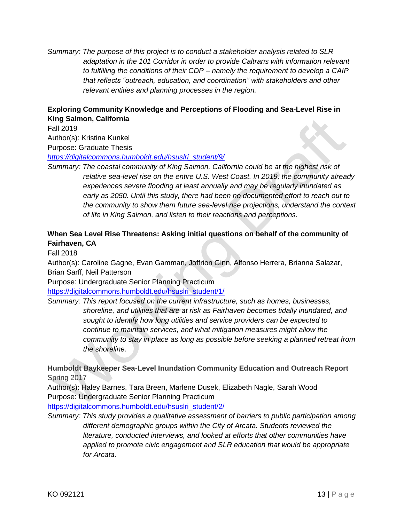*Summary: The purpose of this project is to conduct a stakeholder analysis related to SLR adaptation in the 101 Corridor in order to provide Caltrans with information relevant to fulfilling the conditions of their CDP – namely the requirement to develop a CAIP that reflects "outreach, education, and coordination" with stakeholders and other relevant entities and planning processes in the region.*

#### **Exploring Community Knowledge and Perceptions of Flooding and Sea-Level Rise in King Salmon, California**

Fall 2019

Author(s): Kristina Kunkel

Purpose: Graduate Thesis

*[https://digitalcommons.humboldt.edu/hsuslri\\_student/9/](https://digitalcommons.humboldt.edu/hsuslri_student/9/)*

*Summary: The coastal community of King Salmon, California could be at the highest risk of relative sea-level rise on the entire U.S. West Coast. In 2019, the community already experiences severe flooding at least annually and may be regularly inundated as early as 2050. Until this study, there had been no documented effort to reach out to the community to show them future sea-level rise projections, understand the context of life in King Salmon, and listen to their reactions and perceptions.*

#### **When Sea Level Rise Threatens: Asking initial questions on behalf of the community of Fairhaven, CA**

Fall 2018

Author(s): Caroline Gagne, Evan Gamman, Joffrion Ginn, Alfonso Herrera, Brianna Salazar, Brian Sarff, Neil Patterson

Purpose: Undergraduate Senior Planning Practicum

[https://digitalcommons.humboldt.edu/hsuslri\\_student/1/](https://digitalcommons.humboldt.edu/hsuslri_student/1/)

*Summary: This report focused on the current infrastructure, such as homes, businesses, shoreline, and utilities that are at risk as Fairhaven becomes tidally inundated, and sought to identify how long utilities and service providers can be expected to continue to maintain services, and what mitigation measures might allow the community to stay in place as long as possible before seeking a planned retreat from the shoreline.*

**Humboldt Baykeeper Sea-Level Inundation Community Education and Outreach Report** Spring 2017

Author(s): Haley Barnes, Tara Breen, Marlene Dusek, Elizabeth Nagle, Sarah Wood Purpose: Undergraduate Senior Planning Practicum

[https://digitalcommons.humboldt.edu/hsuslri\\_student/2/](https://digitalcommons.humboldt.edu/hsuslri_student/2/)

*Summary: This study provides a qualitative assessment of barriers to public participation among different demographic groups within the City of Arcata. Students reviewed the literature, conducted interviews, and looked at efforts that other communities have applied to promote civic engagement and SLR education that would be appropriate for Arcata.*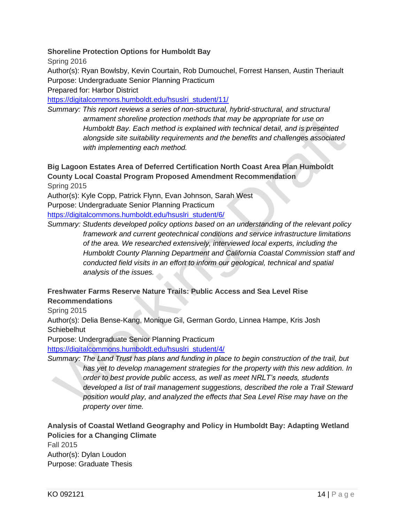#### **Shoreline Protection Options for Humboldt Bay**

Spring 2016

Author(s): Ryan Bowlsby, Kevin Courtain, Rob Dumouchel, Forrest Hansen, Austin Theriault Purpose: Undergraduate Senior Planning Practicum

Prepared for: Harbor District

[https://digitalcommons.humboldt.edu/hsuslri\\_student/11/](https://digitalcommons.humboldt.edu/hsuslri_student/11/)

*Summary: This report reviews a series of non-structural, hybrid-structural, and structural armament shoreline protection methods that may be appropriate for use on Humboldt Bay. Each method is explained with technical detail, and is presented alongside site suitability requirements and the benefits and challenges associated with implementing each method.* 

**Big Lagoon Estates Area of Deferred Certification North Coast Area Plan Humboldt County Local Coastal Program Proposed Amendment Recommendation**

Spring 2015

Author(s): Kyle Copp, Patrick Flynn, Evan Johnson, Sarah West

Purpose: Undergraduate Senior Planning Practicum

[https://digitalcommons.humboldt.edu/hsuslri\\_student/6/](https://digitalcommons.humboldt.edu/hsuslri_student/6/)

*Summary: Students developed policy options based on an understanding of the relevant policy framework and current geotechnical conditions and service infrastructure limitations of the area. We researched extensively, interviewed local experts, including the Humboldt County Planning Department and California Coastal Commission staff and conducted field visits in an effort to inform our geological, technical and spatial analysis of the issues.*

#### **Freshwater Farms Reserve Nature Trails: Public Access and Sea Level Rise Recommendations**

Spring 2015

Author(s): Delia Bense-Kang, Monique Gil, German Gordo, Linnea Hampe, Kris Josh **Schiebelhut** 

Purpose: Undergraduate Senior Planning Practicum

[https://digitalcommons.humboldt.edu/hsuslri\\_student/4/](https://digitalcommons.humboldt.edu/hsuslri_student/4/)

*Summary: The Land Trust has plans and funding in place to begin construction of the trail, but* 

*has yet to develop management strategies for the property with this new addition. In order to best provide public access, as well as meet NRLT's needs, students developed a list of trail management suggestions, described the role a Trail Steward position would play, and analyzed the effects that Sea Level Rise may have on the property over time.*

**Analysis of Coastal Wetland Geography and Policy in Humboldt Bay: Adapting Wetland Policies for a Changing Climate** Fall 2015 Author(s): Dylan Loudon Purpose: Graduate Thesis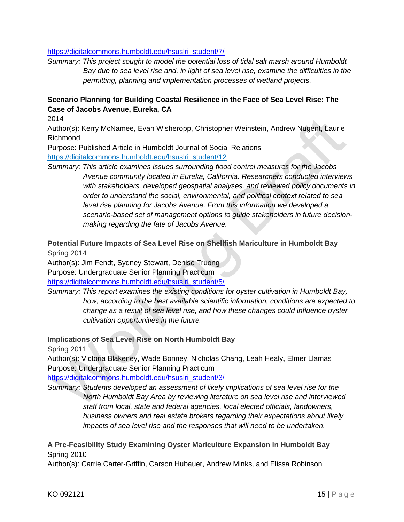#### [https://digitalcommons.humboldt.edu/hsuslri\\_student/7/](https://digitalcommons.humboldt.edu/hsuslri_student/7/)

*Summary: This project sought to model the potential loss of tidal salt marsh around Humboldt Bay due to sea level rise and, in light of sea level rise, examine the difficulties in the permitting, planning and implementation processes of wetland projects.*

#### **Scenario Planning for Building Coastal Resilience in the Face of Sea Level Rise: The Case of Jacobs Avenue, Eureka, CA**

2014

Author(s): Kerry McNamee, Evan Wisheropp, Christopher Weinstein, Andrew Nugent, Laurie Richmond

Purpose: Published Article in Humboldt Journal of Social Relations [https://digitalcommons.humboldt.edu/hsuslri\\_student/12](https://digitalcommons.humboldt.edu/hsuslri_student/12)

*Summary: This article examines issues surrounding flood control measures for the Jacobs Avenue community located in Eureka, California. Researchers conducted interviews with stakeholders, developed geospatial analyses, and reviewed policy documents in order to understand the social, environmental, and political context related to sea level rise planning for Jacobs Avenue. From this information we developed a scenario-based set of management options to guide stakeholders in future decisionmaking regarding the fate of Jacobs Avenue.*

**Potential Future Impacts of Sea Level Rise on Shellfish Mariculture in Humboldt Bay**  Spring 2014

Author(s): Jim Fendt, Sydney Stewart, Denise Truong Purpose: Undergraduate Senior Planning Practicum [https://digitalcommons.humboldt.edu/hsuslri\\_student/5/](https://digitalcommons.humboldt.edu/hsuslri_student/5/)

*Summary: This report examines the existing conditions for oyster cultivation in Humboldt Bay, how, according to the best available scientific information, conditions are expected to change as a result of sea level rise, and how these changes could influence oyster cultivation opportunities in the future.*

**Implications of Sea Level Rise on North Humboldt Bay**

Spring 2011

Author(s): Victoria Blakeney, Wade Bonney, Nicholas Chang, Leah Healy, Elmer Llamas Purpose: Undergraduate Senior Planning Practicum

[https://digitalcommons.humboldt.edu/hsuslri\\_student/3/](https://digitalcommons.humboldt.edu/hsuslri_student/3/)

*Summary: Students developed an assessment of likely implications of sea level rise for the North Humboldt Bay Area by reviewing literature on sea level rise and interviewed staff from local, state and federal agencies, local elected officials, landowners, business owners and real estate brokers regarding their expectations about likely impacts of sea level rise and the responses that will need to be undertaken.*

#### **A Pre-Feasibility Study Examining Oyster Mariculture Expansion in Humboldt Bay** Spring 2010

Author(s): Carrie Carter-Griffin, Carson Hubauer, Andrew Minks, and Elissa Robinson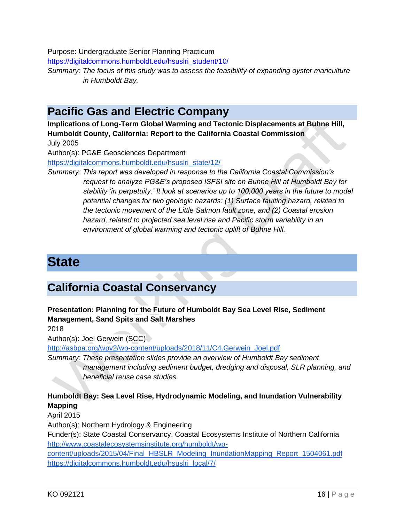Purpose: Undergraduate Senior Planning Practicum

[https://digitalcommons.humboldt.edu/hsuslri\\_student/10/](https://digitalcommons.humboldt.edu/hsuslri_student/10/)

*Summary: The focus of this study was to assess the feasibility of expanding oyster mariculture in Humboldt Bay.*

### <span id="page-18-0"></span>**Pacific Gas and Electric Company**

**Implications of Long-Term Global Warming and Tectonic Displacements at Buhne Hill, Humboldt County, California: Report to the California Coastal Commission** July 2005

Author(s): PG&E Geosciences Department

[https://digitalcommons.humboldt.edu/hsuslri\\_state/12/](https://digitalcommons.humboldt.edu/hsuslri_state/12/)

*Summary: This report was developed in response to the California Coastal Commission's request to analyze PG&E's proposed ISFSI site on Buhne Hill at Humboldt Bay for stability 'in perpetuity.' It look at scenarios up to 100,000 years in the future to model potential changes for two geologic hazards: (1) Surface faulting hazard, related to the tectonic movement of the Little Salmon fault zone, and (2) Coastal erosion hazard, related to projected sea level rise and Pacific storm variability in an environment of global warming and tectonic uplift of Buhne Hill.*

# <span id="page-18-1"></span>**State**

### <span id="page-18-2"></span>**California Coastal Conservancy**

**Presentation: Planning for the Future of Humboldt Bay Sea Level Rise, Sediment Management, Sand Spits and Salt Marshes**

2018

Author(s): Joel Gerwein (SCC)

[http://asbpa.org/wpv2/wp-content/uploads/2018/11/C4.Gerwein\\_Joel.pdf](http://asbpa.org/wpv2/wp-content/uploads/2018/11/C4.Gerwein_Joel.pdf)

*Summary: These presentation slides provide an overview of Humboldt Bay sediment management including sediment budget, dredging and disposal, SLR planning, and beneficial reuse case studies.* 

#### **Humboldt Bay: Sea Level Rise, Hydrodynamic Modeling, and Inundation Vulnerability Mapping**

April 2015

Author(s): Northern Hydrology & Engineering

Funder(s): State Coastal Conservancy, Coastal Ecosystems Institute of Northern California [http://www.coastalecosystemsinstitute.org/humboldt/wp-](http://www.coastalecosystemsinstitute.org/humboldt/wp-content/uploads/2015/04/Final_HBSLR_Modeling_InundationMapping_Report_1504061.pdf)

[content/uploads/2015/04/Final\\_HBSLR\\_Modeling\\_InundationMapping\\_Report\\_1504061.pdf](http://www.coastalecosystemsinstitute.org/humboldt/wp-content/uploads/2015/04/Final_HBSLR_Modeling_InundationMapping_Report_1504061.pdf) [https://digitalcommons.humboldt.edu/hsuslri\\_local/7/](https://digitalcommons.humboldt.edu/hsuslri_local/7/)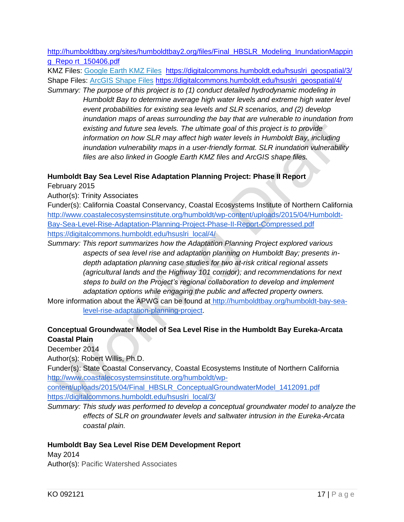[http://humboldtbay.org/sites/humboldtbay2.org/files/Final\\_HBSLR\\_Modeling\\_InundationMappin](http://humboldtbay.org/sites/humboldtbay2.org/files/Final_HBSLR_Modeling_InundationMapping_Repo%20rt_150406.pdf) [g\\_Repo rt\\_150406.pdf](http://humboldtbay.org/sites/humboldtbay2.org/files/Final_HBSLR_Modeling_InundationMapping_Repo%20rt_150406.pdf)

KMZ Files: [Google Earth KMZ Files](http://www.coastalecosystemsinstitute.org/humboldt/wp-content/uploads/2015/04/Generalized_KMZ_Files.zip) [https://digitalcommons.humboldt.edu/hsuslri\\_geospatial/3/](https://digitalcommons.humboldt.edu/hsuslri_geospatial/3/) Shape Files: [ArcGIS Shape Files](http://www.coastalecosystemsinstitute.org/humboldt/wp-content/uploads/2015/04/Generalized_Shape_Files.zip) [https://digitalcommons.humboldt.edu/hsuslri\\_geospatial/4/](https://digitalcommons.humboldt.edu/hsuslri_geospatial/4/)

*Summary: The purpose of this project is to (1) conduct detailed hydrodynamic modeling in Humboldt Bay to determine average high water levels and extreme high water level event probabilities for existing sea levels and SLR scenarios, and (2) develop inundation maps of areas surrounding the bay that are vulnerable to inundation from existing and future sea levels. The ultimate goal of this project is to provide information on how SLR may affect high water levels in Humboldt Bay, including inundation vulnerability maps in a user-friendly format. SLR inundation vulnerability files are also linked in Google Earth KMZ files and ArcGIS shape files.*

#### **Humboldt Bay Sea Level Rise Adaptation Planning Project: Phase II Report**

February 2015

Author(s): Trinity Associates

Funder(s): California Coastal Conservancy, Coastal Ecosystems Institute of Northern California [http://www.coastalecosystemsinstitute.org/humboldt/wp-content/uploads/2015/04/Humboldt-](http://www.coastalecosystemsinstitute.org/humboldt/wp-content/uploads/2015/04/Humboldt-Bay-Sea-Level-Rise-Adaptation-Planning-Project-Phase-II-Report-Compressed.pdf)[Bay-Sea-Level-Rise-Adaptation-Planning-Project-Phase-II-Report-Compressed.pdf](http://www.coastalecosystemsinstitute.org/humboldt/wp-content/uploads/2015/04/Humboldt-Bay-Sea-Level-Rise-Adaptation-Planning-Project-Phase-II-Report-Compressed.pdf) [https://digitalcommons.humboldt.edu/hsuslri\\_local/4/](https://digitalcommons.humboldt.edu/hsuslri_local/4/)

*Summary: This report summarizes how the Adaptation Planning Project explored various aspects of sea level rise and adaptation planning on Humboldt Bay; presents indepth adaptation planning case studies for two at-risk critical regional assets (agricultural lands and the Highway 101 corridor); and recommendations for next steps to build on the Project's regional collaboration to develop and implement adaptation options while engaging the public and affected property owners.* 

More information about the APWG can be found at [http://humboldtbay.org/humboldt-bay-sea](http://humboldtbay.org/humboldt-bay-sea-level-rise-adaptation-planning-project)[level-rise-adaptation-planning-project.](http://humboldtbay.org/humboldt-bay-sea-level-rise-adaptation-planning-project)

#### **Conceptual Groundwater Model of Sea Level Rise in the Humboldt Bay Eureka-Arcata Coastal Plain**

December 2014

Author(s): Robert Willis, Ph.D.

Funder(s): State Coastal Conservancy, Coastal Ecosystems Institute of Northern California [http://www.coastalecosystemsinstitute.org/humboldt/wp-](http://www.coastalecosystemsinstitute.org/humboldt/wp-content/uploads/2015/04/Final_HBSLR_ConceptualGroundwaterModel_1412091.pdf)

[content/uploads/2015/04/Final\\_HBSLR\\_ConceptualGroundwaterModel\\_1412091.pdf](http://www.coastalecosystemsinstitute.org/humboldt/wp-content/uploads/2015/04/Final_HBSLR_ConceptualGroundwaterModel_1412091.pdf) [https://digitalcommons.humboldt.edu/hsuslri\\_local/3/](https://digitalcommons.humboldt.edu/hsuslri_local/3/)

*Summary: This study was performed to develop a conceptual groundwater model to analyze the effects of SLR on groundwater levels and saltwater intrusion in the Eureka-Arcata coastal plain.* 

#### **Humboldt Bay Sea Level Rise DEM Development Report**

May 2014 Author(s): Pacific Watershed Associates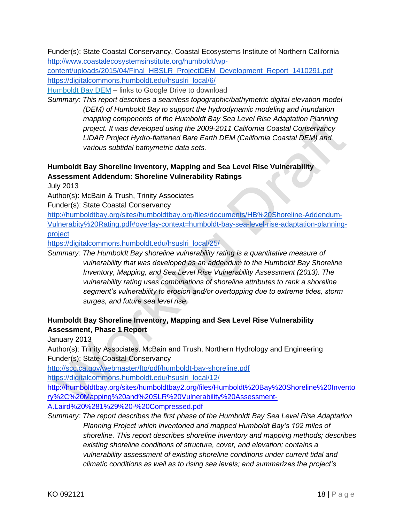Funder(s): State Coastal Conservancy, Coastal Ecosystems Institute of Northern California [http://www.coastalecosystemsinstitute.org/humboldt/wp-](http://www.coastalecosystemsinstitute.org/humboldt/wp-content/uploads/2015/04/Final_HBSLR_ProjectDEM_Development_Report_1410291.pdf)

[content/uploads/2015/04/Final\\_HBSLR\\_ProjectDEM\\_Development\\_Report\\_1410291.pdf](http://www.coastalecosystemsinstitute.org/humboldt/wp-content/uploads/2015/04/Final_HBSLR_ProjectDEM_Development_Report_1410291.pdf) [https://digitalcommons.humboldt.edu/hsuslri\\_local/6/](https://digitalcommons.humboldt.edu/hsuslri_local/6/)

[Humboldt Bay DEM](https://drive.google.com/folderview?id=0B5UPzlQQQ5abMEE2OGpLcjk2QjQ&usp=sharing) – links to Google Drive to download

*Summary: This report describes a seamless topographic/bathymetric digital elevation model (DEM) of Humboldt Bay to support the hydrodynamic modeling and inundation mapping components of the Humboldt Bay Sea Level Rise Adaptation Planning project. It was developed using the 2009-2011 California Coastal Conservancy LiDAR Project Hydro-flattened Bare Earth DEM (California Coastal DEM) and various subtidal bathymetric data sets.*

#### **Humboldt Bay Shoreline Inventory, Mapping and Sea Level Rise Vulnerability Assessment Addendum: Shoreline Vulnerability Ratings**

July 2013

Author(s): McBain & Trush, Trinity Associates

Funder(s): State Coastal Conservancy

[http://humboldtbay.org/sites/humboldtbay.org/files/documents/HB%20Shoreline-Addendum-](http://humboldtbay.org/sites/humboldtbay.org/files/documents/HB%20Shoreline-Addendum-Vulnerabity%20Rating.pdf#overlay-context=humboldt-bay-sea-level-rise-adaptation-planning-project)[Vulnerabity%20Rating.pdf#overlay-context=humboldt-bay-sea-level-rise-adaptation-planning](http://humboldtbay.org/sites/humboldtbay.org/files/documents/HB%20Shoreline-Addendum-Vulnerabity%20Rating.pdf#overlay-context=humboldt-bay-sea-level-rise-adaptation-planning-project)[project](http://humboldtbay.org/sites/humboldtbay.org/files/documents/HB%20Shoreline-Addendum-Vulnerabity%20Rating.pdf#overlay-context=humboldt-bay-sea-level-rise-adaptation-planning-project)

[https://digitalcommons.humboldt.edu/hsuslri\\_local/25/](https://digitalcommons.humboldt.edu/hsuslri_local/25/)

*Summary: The Humboldt Bay shoreline vulnerability rating is a quantitative measure of vulnerability that was developed as an addendum to the Humboldt Bay Shoreline Inventory, Mapping, and Sea Level Rise Vulnerability Assessment (2013). The vulnerability rating uses combinations of shoreline attributes to rank a shoreline segment's vulnerability to erosion and/or overtopping due to extreme tides, storm surges, and future sea level rise.* 

#### **Humboldt Bay Shoreline Inventory, Mapping and Sea Level Rise Vulnerability Assessment, Phase 1 Report**

January 2013

Author(s): Trinity Associates, McBain and Trush, Northern Hydrology and Engineering Funder(s): State Coastal Conservancy

<http://scc.ca.gov/webmaster/ftp/pdf/humboldt-bay-shoreline.pdf>

[https://digitalcommons.humboldt.edu/hsuslri\\_local/12/](https://digitalcommons.humboldt.edu/hsuslri_local/12/)

[http://humboldtbay.org/sites/humboldtbay2.org/files/Humboldt%20Bay%20Shoreline%20Invento](http://humboldtbay.org/sites/humboldtbay2.org/files/Humboldt%20Bay%20Shoreline%20Inventory%2C%20Mapping%20and%20SLR%20Vulnerability%20Assessment-A.Laird%20%281%29%20-%20Compressed.pdf) [ry%2C%20Mapping%20and%20SLR%20Vulnerability%20Assessment-](http://humboldtbay.org/sites/humboldtbay2.org/files/Humboldt%20Bay%20Shoreline%20Inventory%2C%20Mapping%20and%20SLR%20Vulnerability%20Assessment-A.Laird%20%281%29%20-%20Compressed.pdf)

[A.Laird%20%281%29%20-%20Compressed.pdf](http://humboldtbay.org/sites/humboldtbay2.org/files/Humboldt%20Bay%20Shoreline%20Inventory%2C%20Mapping%20and%20SLR%20Vulnerability%20Assessment-A.Laird%20%281%29%20-%20Compressed.pdf)

*Summary: The report describes the first phase of the Humboldt Bay Sea Level Rise Adaptation Planning Project which inventoried and mapped Humboldt Bay's 102 miles of shoreline. This report describes shoreline inventory and mapping methods; describes existing shoreline conditions of structure, cover, and elevation; contains a vulnerability assessment of existing shoreline conditions under current tidal and climatic conditions as well as to rising sea levels; and summarizes the project's*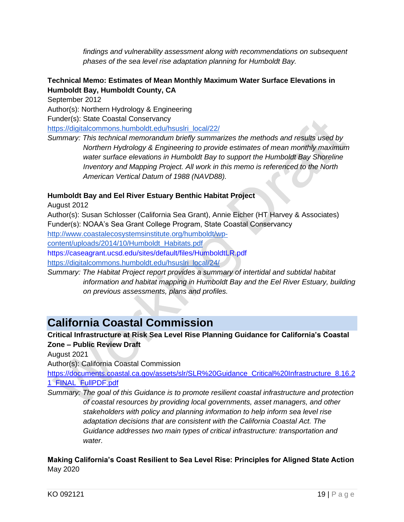*findings and vulnerability assessment along with recommendations on subsequent phases of the sea level rise adaptation planning for Humboldt Bay.*

#### **Technical Memo: Estimates of Mean Monthly Maximum Water Surface Elevations in Humboldt Bay, Humboldt County, CA**

September 2012

Author(s): Northern Hydrology & Engineering Funder(s): State Coastal Conservancy [https://digitalcommons.humboldt.edu/hsuslri\\_local/22/](https://digitalcommons.humboldt.edu/hsuslri_local/22/) *Summary: This technical memorandum briefly summarizes the methods and results used by* 

*Northern Hydrology & Engineering to provide estimates of mean monthly maximum water surface elevations in Humboldt Bay to support the Humboldt Bay Shoreline Inventory and Mapping Project. All work in this memo is referenced to the North American Vertical Datum of 1988 (NAVD88).*

#### **Humboldt Bay and Eel River Estuary Benthic Habitat Project**

August 2012

Author(s): Susan Schlosser (California Sea Grant), Annie Eicher (HT Harvey & Associates) Funder(s): NOAA's Sea Grant College Program, State Coastal Conservancy

[http://www.coastalecosystemsinstitute.org/humboldt/wp-](http://www.coastalecosystemsinstitute.org/humboldt/wp-content/uploads/2014/10/Humboldt_Habitats.pdf)

[content/uploads/2014/10/Humboldt\\_Habitats.pdf](http://www.coastalecosystemsinstitute.org/humboldt/wp-content/uploads/2014/10/Humboldt_Habitats.pdf)

https://caseagrant.ucsd.edu/sites/default/files/HumboldtLR.pdf

[https://digitalcommons.humboldt.edu/hsuslri\\_local/24/](https://digitalcommons.humboldt.edu/hsuslri_local/24/)

*Summary: The Habitat Project report provides a summary of intertidal and subtidal habitat information and habitat mapping in Humboldt Bay and the Eel River Estuary, building on previous assessments, plans and profiles.*

### <span id="page-21-0"></span>**California Coastal Commission**

**Critical Infrastructure at Risk Sea Level Rise Planning Guidance for California's Coastal Zone – Public Review Draft**

August 2021

Author(s): California Coastal Commission

[https://documents.coastal.ca.gov/assets/slr/SLR%20Guidance\\_Critical%20Infrastructure\\_8.16.2](https://documents.coastal.ca.gov/assets/slr/SLR%20Guidance_Critical%20Infrastructure_8.16.21_FINAL_FullPDF.pdf) [1\\_FINAL\\_FullPDF.pdf](https://documents.coastal.ca.gov/assets/slr/SLR%20Guidance_Critical%20Infrastructure_8.16.21_FINAL_FullPDF.pdf)

*Summary: The goal of this Guidance is to promote resilient coastal infrastructure and protection of coastal resources by providing local governments, asset managers, and other stakeholders with policy and planning information to help inform sea level rise adaptation decisions that are consistent with the California Coastal Act. The Guidance addresses two main types of critical infrastructure: transportation and water.* 

**Making California's Coast Resilient to Sea Level Rise: Principles for Aligned State Action** May 2020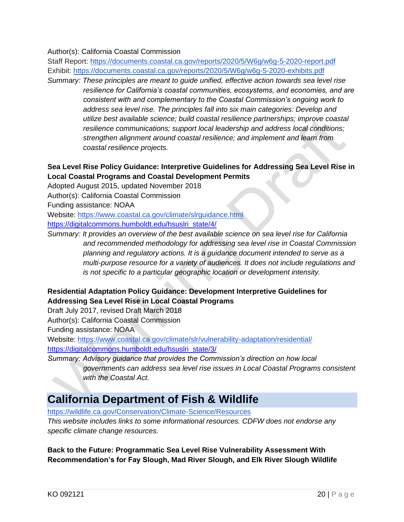#### Author(s): California Coastal Commission

Staff Report:<https://documents.coastal.ca.gov/reports/2020/5/W6g/w6g-5-2020-report.pdf> Exhibit:<https://documents.coastal.ca.gov/reports/2020/5/W6g/w6g-5-2020-exhibits.pdf>

*Summary: These principles are meant to guide unified, effective action towards sea level rise resilience for California's coastal communities, ecosystems, and economies, and are consistent with and complementary to the Coastal Commission's ongoing work to address sea level rise. The principles fall into six main categories: Develop and utilize best available science; build coastal resilience partnerships; improve coastal resilience communications; support local leadership and address local conditions; strengthen alignment around coastal resilience; and implement and learn from coastal resilience projects.*

#### **Sea Level Rise Policy Guidance: Interpretive Guidelines for Addressing Sea Level Rise in Local Coastal Programs and Coastal Development Permits**

Adopted August 2015, updated November 2018

Author(s): California Coastal Commission

Funding assistance: NOAA

Website:<https://www.coastal.ca.gov/climate/slrguidance.html>

[https://digitalcommons.humboldt.edu/hsuslri\\_state/4/](https://digitalcommons.humboldt.edu/hsuslri_state/4/)

*Summary: It provides an overview of the best available science on sea level rise for California and recommended methodology for addressing sea level rise in Coastal Commission planning and regulatory actions. It is a guidance document intended to serve as a multi-purpose resource for a variety of audiences. It does not include regulations and is not specific to a particular geographic location or development intensity.*

#### **Residential Adaptation Policy Guidance: Development Interpretive Guidelines for Addressing Sea Level Rise in Local Coastal Programs**

Draft July 2017, revised Draft March 2018

Author(s): California Coastal Commission

Funding assistance: NOAA

Website:<https://www.coastal.ca.gov/climate/slr/vulnerability-adaptation/residential/> [https://digitalcommons.humboldt.edu/hsuslri\\_state/3/](https://digitalcommons.humboldt.edu/hsuslri_state/3/)

*Summary: Advisory guidance that provides the Commission's direction on how local governments can address sea level rise issues in Local Coastal Programs consistent with the Coastal Act.*

### <span id="page-22-0"></span>**California Department of Fish & Wildlife**

<https://wildlife.ca.gov/Conservation/Climate-Science/Resources>

*This website includes links to some informational resources. CDFW does not endorse any specific climate change resources.* 

**Back to the Future: Programmatic Sea Level Rise Vulnerability Assessment With Recommendation's for Fay Slough, Mad River Slough, and Elk River Slough Wildlife**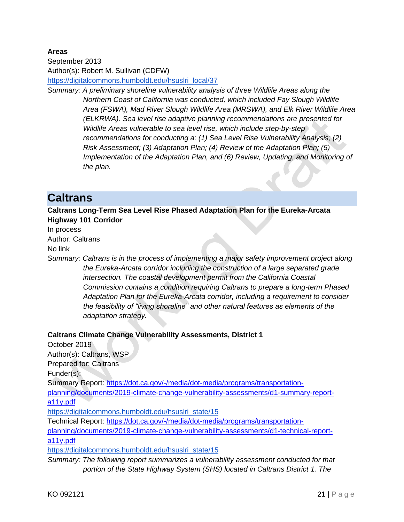#### **Areas**

September 2013 Author(s): Robert M. Sullivan (CDFW) [https://digitalcommons.humboldt.edu/hsuslri\\_local/37](https://digitalcommons.humboldt.edu/hsuslri_local/37)

*Summary: A preliminary shoreline vulnerability analysis of three Wildlife Areas along the Northern Coast of California was conducted, which included Fay Slough Wildlife Area (FSWA), Mad River Slough Wildlife Area (MRSWA), and Elk River Wildlife Area (ELKRWA). Sea level rise adaptive planning recommendations are presented for Wildlife Areas vulnerable to sea level rise, which include step-by-step recommendations for conducting a: (1) Sea Level Rise Vulnerability Analysis; (2) Risk Assessment; (3) Adaptation Plan; (4) Review of the Adaptation Plan; (5) Implementation of the Adaptation Plan, and (6) Review, Updating, and Monitoring of the plan.*

### <span id="page-23-0"></span>**Caltrans**

**Caltrans Long-Term Sea Level Rise Phased Adaptation Plan for the Eureka-Arcata Highway 101 Corridor** 

In process Author: Caltrans No link

*Summary: Caltrans is in the process of implementing a major safety improvement project along the Eureka-Arcata corridor including the construction of a large separated grade intersection. The coastal development permit from the California Coastal Commission contains a condition requiring Caltrans to prepare a long-term Phased Adaptation Plan for the Eureka-Arcata corridor, including a requirement to consider the feasibility of "living shoreline" and other natural features as elements of the adaptation strategy.*

#### **Caltrans Climate Change Vulnerability Assessments, District 1**

October 2019 Author(s): Caltrans, WSP Prepared for: Caltrans Funder(s): Summary Report: [https://dot.ca.gov/-/media/dot-media/programs/transportation](https://dot.ca.gov/-/media/dot-media/programs/transportation-planning/documents/2019-climate-change-vulnerability-assessments/d1-summary-report-a11y.pdf)[planning/documents/2019-climate-change-vulnerability-assessments/d1-summary-report](https://dot.ca.gov/-/media/dot-media/programs/transportation-planning/documents/2019-climate-change-vulnerability-assessments/d1-summary-report-a11y.pdf)[a11y.pdf](https://dot.ca.gov/-/media/dot-media/programs/transportation-planning/documents/2019-climate-change-vulnerability-assessments/d1-summary-report-a11y.pdf) [https://digitalcommons.humboldt.edu/hsuslri\\_state/15](https://digitalcommons.humboldt.edu/hsuslri_state/15) Technical Report: [https://dot.ca.gov/-/media/dot-media/programs/transportation](https://dot.ca.gov/-/media/dot-media/programs/transportation-planning/documents/2019-climate-change-vulnerability-assessments/d1-technical-report-a11y.pdf)[planning/documents/2019-climate-change-vulnerability-assessments/d1-technical-report](https://dot.ca.gov/-/media/dot-media/programs/transportation-planning/documents/2019-climate-change-vulnerability-assessments/d1-technical-report-a11y.pdf)[a11y.pdf](https://dot.ca.gov/-/media/dot-media/programs/transportation-planning/documents/2019-climate-change-vulnerability-assessments/d1-technical-report-a11y.pdf)

[https://digitalcommons.humboldt.edu/hsuslri\\_state/15](https://digitalcommons.humboldt.edu/hsuslri_state/15)

*Summary: The following report summarizes a vulnerability assessment conducted for that portion of the State Highway System (SHS) located in Caltrans District 1. The*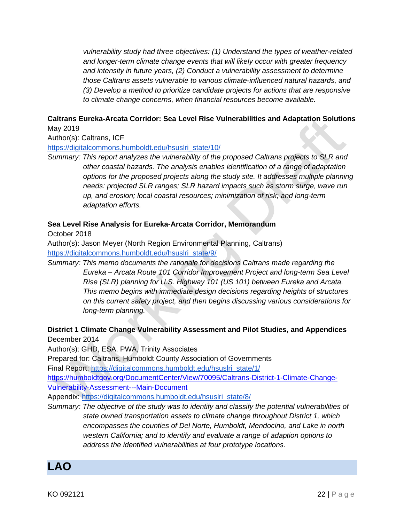*vulnerability study had three objectives: (1) Understand the types of weather-related and longer-term climate change events that will likely occur with greater frequency and intensity in future years, (2) Conduct a vulnerability assessment to determine those Caltrans assets vulnerable to various climate-influenced natural hazards, and (3) Develop a method to prioritize candidate projects for actions that are responsive to climate change concerns, when financial resources become available.*

#### **Caltrans Eureka-Arcata Corridor: Sea Level Rise Vulnerabilities and Adaptation Solutions** May 2019

Author(s): Caltrans, ICF

[https://digitalcommons.humboldt.edu/hsuslri\\_state/10/](https://digitalcommons.humboldt.edu/hsuslri_state/10/)

*Summary: This report analyzes the vulnerability of the proposed Caltrans projects to SLR and other coastal hazards. The analysis enables identification of a range of adaptation options for the proposed projects along the study site. It addresses multiple planning needs: projected SLR ranges; SLR hazard impacts such as storm surge, wave run up, and erosion; local coastal resources; minimization of risk; and long-term adaptation efforts.* 

#### **Sea Level Rise Analysis for Eureka-Arcata Corridor, Memorandum**

October 2018

Author(s): Jason Meyer (North Region Environmental Planning, Caltrans) [https://digitalcommons.humboldt.edu/hsuslri\\_state/9/](https://digitalcommons.humboldt.edu/hsuslri_state/9/)

*Summary: This memo documents the rationale for decisions Caltrans made regarding the Eureka – Arcata Route 101 Corridor Improvement Project and long-term Sea Level Rise (SLR) planning for U.S. Highway 101 (US 101) between Eureka and Arcata. This memo begins with immediate design decisions regarding heights of structures on this current safety project, and then begins discussing various considerations for long-term planning.*

**District 1 Climate Change Vulnerability Assessment and Pilot Studies, and Appendices** December 2014

Author(s): GHD, ESA, PWA, Trinity Associates

Prepared for: Caltrans, Humboldt County Association of Governments

Final Report: [https://digitalcommons.humboldt.edu/hsuslri\\_state/1/](https://digitalcommons.humboldt.edu/hsuslri_state/1/)

[https://humboldtgov.org/DocumentCenter/View/70095/Caltrans-District-1-Climate-Change-](https://humboldtgov.org/DocumentCenter/View/70095/Caltrans-District-1-Climate-Change-Vulnerability-Assessment---Main-Document)[Vulnerability-Assessment---Main-Document](https://humboldtgov.org/DocumentCenter/View/70095/Caltrans-District-1-Climate-Change-Vulnerability-Assessment---Main-Document)

Appendix: [https://digitalcommons.humboldt.edu/hsuslri\\_state/8/](https://digitalcommons.humboldt.edu/hsuslri_state/8/)

*Summary: The objective of the study was to identify and classify the potential vulnerabilities of state owned transportation assets to climate change throughout District 1, which encompasses the counties of Del Norte, Humboldt, Mendocino, and Lake in north western California; and to identify and evaluate a range of adaption options to address the identified vulnerabilities at four prototype locations.*

<span id="page-24-0"></span>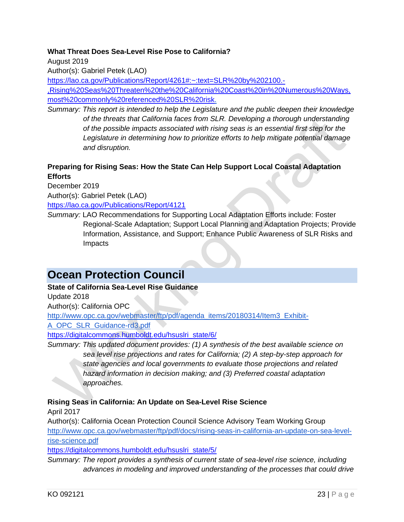#### **What Threat Does Sea-Level Rise Pose to California?**

August 2019

Author(s): Gabriel Petek (LAO)

[https://lao.ca.gov/Publications/Report/4261#:~:text=SLR%20by%202100.-](https://lao.ca.gov/Publications/Report/4261#:~:text=SLR%20by%202100.-,Rising%20Seas%20Threaten%20the%20California%20Coast%20in%20Numerous%20Ways,most%20commonly%20referenced%20SLR%20risk)

[,Rising%20Seas%20Threaten%20the%20California%20Coast%20in%20Numerous%20Ways,](https://lao.ca.gov/Publications/Report/4261#:~:text=SLR%20by%202100.-,Rising%20Seas%20Threaten%20the%20California%20Coast%20in%20Numerous%20Ways,most%20commonly%20referenced%20SLR%20risk) [most%20commonly%20referenced%20SLR%20risk.](https://lao.ca.gov/Publications/Report/4261#:~:text=SLR%20by%202100.-,Rising%20Seas%20Threaten%20the%20California%20Coast%20in%20Numerous%20Ways,most%20commonly%20referenced%20SLR%20risk)

*Summary: This report is intended to help the Legislature and the public deepen their knowledge of the threats that California faces from SLR. Developing a thorough understanding of the possible impacts associated with rising seas is an essential first step for the Legislature in determining how to prioritize efforts to help mitigate potential damage and disruption.*

#### **Preparing for Rising Seas: How the State Can Help Support Local Coastal Adaptation Efforts**

December 2019 Author(s): Gabriel Petek (LAO) <https://lao.ca.gov/Publications/Report/4121>

*Summary:* LAO Recommendations for Supporting Local Adaptation Efforts include: Foster Regional-Scale Adaptation; Support Local Planning and Adaptation Projects; Provide Information, Assistance, and Support; Enhance Public Awareness of SLR Risks and Impacts

### <span id="page-25-0"></span>**Ocean Protection Council**

#### **State of California Sea-Level Rise Guidance**

Update 2018

Author(s): California OPC

[http://www.opc.ca.gov/webmaster/ftp/pdf/agenda\\_items/20180314/Item3\\_Exhibit-](http://www.opc.ca.gov/webmaster/ftp/pdf/agenda_items/20180314/Item3_Exhibit-A_OPC_SLR_Guidance-rd3.pdf)

[A\\_OPC\\_SLR\\_Guidance-rd3.pdf](http://www.opc.ca.gov/webmaster/ftp/pdf/agenda_items/20180314/Item3_Exhibit-A_OPC_SLR_Guidance-rd3.pdf)

[https://digitalcommons.humboldt.edu/hsuslri\\_state/6/](https://digitalcommons.humboldt.edu/hsuslri_state/6/)

*Summary: This updated document provides: (1) A synthesis of the best available science on sea level rise projections and rates for California; (2) A step-by-step approach for state agencies and local governments to evaluate those projections and related hazard information in decision making; and (3) Preferred coastal adaptation approaches.* 

#### **Rising Seas in California: An Update on Sea-Level Rise Science**

April 2017

Author(s): California Ocean Protection Council Science Advisory Team Working Group [http://www.opc.ca.gov/webmaster/ftp/pdf/docs/rising-seas-in-california-an-update-on-sea-level](http://www.opc.ca.gov/webmaster/ftp/pdf/docs/rising-seas-in-california-an-update-on-sea-level-rise-science.pdf)[rise-science.pdf](http://www.opc.ca.gov/webmaster/ftp/pdf/docs/rising-seas-in-california-an-update-on-sea-level-rise-science.pdf)

[https://digitalcommons.humboldt.edu/hsuslri\\_state/5/](https://digitalcommons.humboldt.edu/hsuslri_state/5/)

*Summary: The report provides a synthesis of current state of sea-level rise science, including advances in modeling and improved understanding of the processes that could drive*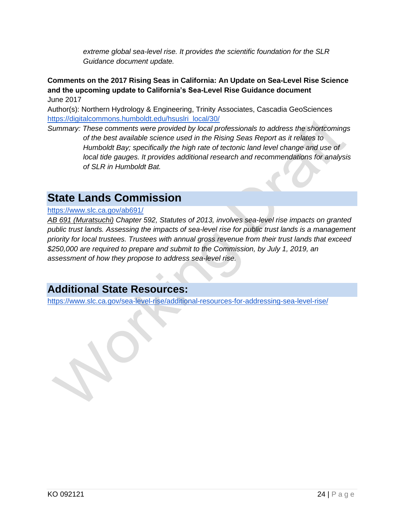*extreme global sea-level rise. It provides the scientific foundation for the SLR Guidance document update.*

**Comments on the 2017 Rising Seas in California: An Update on Sea-Level Rise Science and the upcoming update to California's Sea-Level Rise Guidance document** June 2017

Author(s): Northern Hydrology & Engineering, Trinity Associates, Cascadia GeoSciences [https://digitalcommons.humboldt.edu/hsuslri\\_local/30/](https://digitalcommons.humboldt.edu/hsuslri_local/30/)

*Summary: These comments were provided by local professionals to address the shortcomings of the best available science used in the Rising Seas Report as it relates to Humboldt Bay; specifically the high rate of tectonic land level change and use of local tide gauges. It provides additional research and recommendations for analysis of SLR in Humboldt Bat.* 

### <span id="page-26-0"></span>**State Lands Commission**

#### <https://www.slc.ca.gov/ab691/>

*[AB 691 \(Muratsuchi\)](http://www.leginfo.ca.gov/pub/13-14/bill/asm/ab_0651-0700/ab_691_bill_20131005_chaptered.pdf) Chapter 592, Statutes of 2013, involves sea-level rise impacts on granted public trust lands. Assessing the impacts of sea-level rise for public trust lands is a management priority for local trustees. Trustees with annual gross revenue from their trust lands that exceed \$250,000 are required to prepare and submit to the Commission, by July 1, 2019, an assessment of how they propose to address sea-level rise.*

### **Additional State Resources:**

<https://www.slc.ca.gov/sea-level-rise/additional-resources-for-addressing-sea-level-rise/>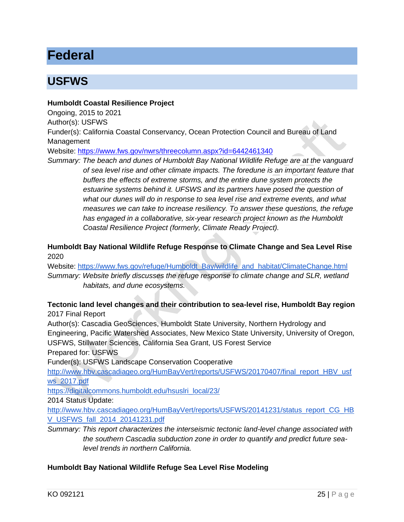# <span id="page-27-0"></span>**Federal**

### <span id="page-27-1"></span>**USFWS**

#### **Humboldt Coastal Resilience Project**

Ongoing, 2015 to 2021

Author(s): USFWS

Funder(s): California Coastal Conservancy, Ocean Protection Council and Bureau of Land Management

Website:<https://www.fws.gov/nwrs/threecolumn.aspx?id=6442461340>

*Summary: The beach and dunes of Humboldt Bay National Wildlife Refuge are at the vanguard of sea level rise and other climate impacts. The foredune is an important feature that buffers the effects of extreme storms, and the entire dune system protects the estuarine systems behind it. UFSWS and its partners have posed the question of what our dunes will do in response to sea level rise and extreme events, and what measures we can take to increase resiliency. To answer these questions, the refuge has engaged in a collaborative, six-year research project known as the Humboldt Coastal Resilience Project (formerly, Climate Ready Project).* 

**Humboldt Bay National Wildlife Refuge Response to Climate Change and Sea Level Rise** 2020

Website: [https://www.fws.gov/refuge/Humboldt\\_Bay/wildlife\\_and\\_habitat/ClimateChange.html](https://www.fws.gov/refuge/Humboldt_Bay/wildlife_and_habitat/ClimateChange.html) *Summary: Website briefly discusses the refuge response to climate change and SLR, wetland habitats, and dune ecosystems.* 

#### **Tectonic land level changes and their contribution to sea-level rise, Humboldt Bay region**  2017 Final Report

Author(s): Cascadia GeoSciences, Humboldt State University, Northern Hydrology and Engineering, Pacific Watershed Associates, New Mexico State University, University of Oregon, USFWS, Stillwater Sciences, California Sea Grant, US Forest Service

Prepared for: USFWS

Funder(s): USFWS Landscape Conservation Cooperative

[http://www.hbv.cascadiageo.org/HumBayVert/reports/USFWS/20170407/final\\_report\\_HBV\\_usf](http://www.hbv.cascadiageo.org/HumBayVert/reports/USFWS/20170407/final_report_HBV_usfws_2017.pdf) [ws\\_2017.pdf](http://www.hbv.cascadiageo.org/HumBayVert/reports/USFWS/20170407/final_report_HBV_usfws_2017.pdf)

[https://digitalcommons.humboldt.edu/hsuslri\\_local/23/](https://digitalcommons.humboldt.edu/hsuslri_local/23/)

2014 Status Update:

http://www.hbv.cascadiageo.org/HumBayVert/reports/USFWS/20141231/status\_report\_CG\_HB V\_USFWS\_fall\_2014\_20141231.pdf

*Summary: This report characterizes the interseismic tectonic land-level change associated with the southern Cascadia subduction zone in order to quantify and predict future sealevel trends in northern California.* 

#### **Humboldt Bay National Wildlife Refuge Sea Level Rise Modeling**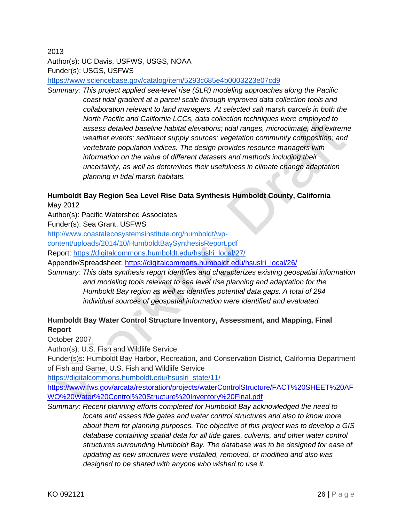2013 Author(s): UC Davis, USFWS, USGS, NOAA Funder(s): USGS, USFWS

<https://www.sciencebase.gov/catalog/item/5293c685e4b0003223e07cd9>

*Summary: This project applied sea-level rise (SLR) modeling approaches along the Pacific coast tidal gradient at a parcel scale through improved data collection tools and collaboration relevant to land managers. At selected salt marsh parcels in both the North Pacific and California LCCs, data collection techniques were employed to assess detailed baseline habitat elevations; tidal ranges, microclimate, and extreme weather events; sediment supply sources; vegetation community composition; and vertebrate population indices. The design provides resource managers with information on the value of different datasets and methods including their uncertainty, as well as determines their usefulness in climate change adaptation planning in tidal marsh habitats.*

#### **Humboldt Bay Region Sea Level Rise Data Synthesis Humboldt County, California** May 2012

Author(s): Pacific Watershed Associates

Funder(s): Sea Grant, USFWS

[http://www.coastalecosystemsinstitute.org/humboldt/wp-](http://www.coastalecosystemsinstitute.org/humboldt/wp-content/uploads/2014/10/HumboldtBaySynthesisReport.pdf)

[content/uploads/2014/10/HumboldtBaySynthesisReport.pdf](http://www.coastalecosystemsinstitute.org/humboldt/wp-content/uploads/2014/10/HumboldtBaySynthesisReport.pdf)

Report: [https://digitalcommons.humboldt.edu/hsuslri\\_local/27/](https://digitalcommons.humboldt.edu/hsuslri_local/27/)

Appendix/Spreadsheet: [https://digitalcommons.humboldt.edu/hsuslri\\_local/26/](https://digitalcommons.humboldt.edu/hsuslri_local/26/)

*Summary: This data synthesis report identifies and characterizes existing geospatial information and modeling tools relevant to sea level rise planning and adaptation for the Humboldt Bay region as well as identifies potential data gaps. A total of 294 individual sources of geospatial information were identified and evaluated.*

#### **Humboldt Bay Water Control Structure Inventory, Assessment, and Mapping, Final Report**

October 2007

Author(s): U.S. Fish and Wildlife Service

Funder(s)s: Humboldt Bay Harbor, Recreation, and Conservation District, California Department of Fish and Game, U.S. Fish and Wildlife Service

[https://digitalcommons.humboldt.edu/hsuslri\\_state/11/](https://digitalcommons.humboldt.edu/hsuslri_state/11/)

[https://www.fws.gov/arcata/restoration/projects/waterControlStructure/FACT%20SHEET%20AF](https://www.fws.gov/arcata/restoration/projects/waterControlStructure/FACT%20SHEET%20AFWO%20Water%20Control%20Structure%20Inventory%20Final.pdf) [WO%20Water%20Control%20Structure%20Inventory%20Final.pdf](https://www.fws.gov/arcata/restoration/projects/waterControlStructure/FACT%20SHEET%20AFWO%20Water%20Control%20Structure%20Inventory%20Final.pdf)

*Summary: Recent planning efforts completed for Humboldt Bay acknowledged the need to locate and assess tide gates and water control structures and also to know more about them for planning purposes. The objective of this project was to develop a GIS*  database containing spatial data for all tide gates, culverts, and other water control *structures surrounding Humboldt Bay. The database was to be designed for ease of updating as new structures were installed, removed, or modified and also was designed to be shared with anyone who wished to use it.*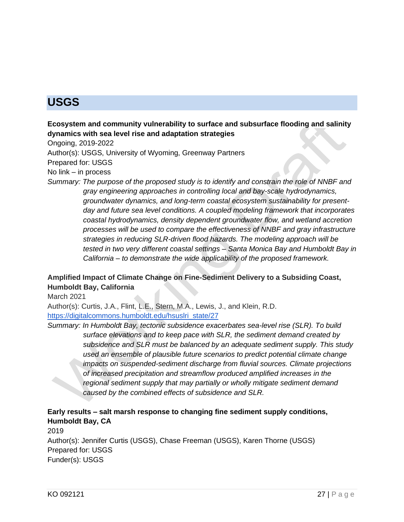# <span id="page-29-0"></span>**USGS**

**Ecosystem and community vulnerability to surface and subsurface flooding and salinity dynamics with sea level rise and adaptation strategies**

Ongoing, 2019-2022

Author(s): USGS, University of Wyoming, Greenway Partners

Prepared for: USGS

No link – in process

*Summary: The purpose of the proposed study is to identify and constrain the role of NNBF and gray engineering approaches in controlling local and bay-scale hydrodynamics, groundwater dynamics, and long-term coastal ecosystem sustainability for presentday and future sea level conditions. A coupled modeling framework that incorporates coastal hydrodynamics, density dependent groundwater flow, and wetland accretion processes will be used to compare the effectiveness of NNBF and gray infrastructure strategies in reducing SLR-driven flood hazards. The modeling approach will be tested in two very different coastal settings – Santa Monica Bay and Humboldt Bay in California – to demonstrate the wide applicability of the proposed framework.*

#### **Amplified Impact of Climate Change on Fine-Sediment Delivery to a Subsiding Coast, Humboldt Bay, California**

March 2021

Author(s): Curtis, J.A., Flint, L.E., Stern, M.A., Lewis, J., and Klein, R.D. [https://digitalcommons.humboldt.edu/hsuslri\\_state/27](https://digitalcommons.humboldt.edu/hsuslri_state/27)

*Summary: In Humboldt Bay, tectonic subsidence exacerbates sea-level rise (SLR). To build surface elevations and to keep pace with SLR, the sediment demand created by subsidence and SLR must be balanced by an adequate sediment supply. This study used an ensemble of plausible future scenarios to predict potential climate change impacts on suspended-sediment discharge from fluvial sources. Climate projections of increased precipitation and streamflow produced amplified increases in the regional sediment supply that may partially or wholly mitigate sediment demand caused by the combined effects of subsidence and SLR.*

#### **Early results – salt marsh response to changing fine sediment supply conditions, Humboldt Bay, CA**

2019

Author(s): Jennifer Curtis (USGS), Chase Freeman (USGS), Karen Thorne (USGS) Prepared for: USGS Funder(s): USGS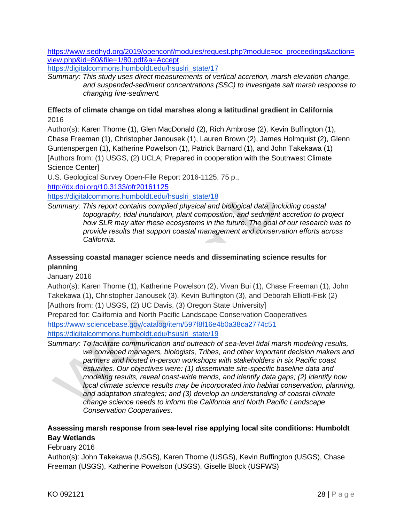[https://www.sedhyd.org/2019/openconf/modules/request.php?module=oc\\_proceedings&action=](https://www.sedhyd.org/2019/openconf/modules/request.php?module=oc_proceedings&action=view.php&id=80&file=1/80.pdf&a=Accept) [view.php&id=80&file=1/80.pdf&a=Accept](https://www.sedhyd.org/2019/openconf/modules/request.php?module=oc_proceedings&action=view.php&id=80&file=1/80.pdf&a=Accept)

[https://digitalcommons.humboldt.edu/hsuslri\\_state/17](https://digitalcommons.humboldt.edu/hsuslri_state/17)

*Summary: This study uses direct measurements of vertical accretion, marsh elevation change, and suspended-sediment concentrations (SSC) to investigate salt marsh response to changing fine-sediment.*

#### **Effects of climate change on tidal marshes along a latitudinal gradient in California**  2016

Author(s): Karen Thorne (1), Glen MacDonald (2), Rich Ambrose (2), Kevin Buffington (1), Chase Freeman (1), Christopher Janousek (1), Lauren Brown (2), James Holmquist (2), Glenn Guntenspergen (1), Katherine Powelson (1), Patrick Barnard (1), and John Takekawa (1) [Authors from: (1) USGS, (2) UCLA; Prepared in cooperation with the Southwest Climate Science Center]

U.S. Geological Survey Open-File Report 2016-1125, 75 p.,

<http://dx.doi.org/10.3133/ofr20161125>

[https://digitalcommons.humboldt.edu/hsuslri\\_state/18](https://digitalcommons.humboldt.edu/hsuslri_state/18)

*Summary: This report contains compiled physical and biological data, including coastal topography, tidal inundation, plant composition, and sediment accretion to project how SLR may alter these ecosystems in the future. The goal of our research was to provide results that support coastal management and conservation efforts across California.*

#### **Assessing coastal manager science needs and disseminating science results for planning**

January 2016

Author(s): Karen Thorne (1), Katherine Powelson (2), Vivan Bui (1), Chase Freeman (1), John Takekawa (1), Christopher Janousek (3), Kevin Buffington (3), and Deborah Elliott-Fisk (2) [Authors from: (1) USGS, (2) UC Davis, (3) Oregon State University]

Prepared for: California and North Pacific Landscape Conservation Cooperatives <https://www.sciencebase.gov/catalog/item/597f8f16e4b0a38ca2774c51>

[https://digitalcommons.humboldt.edu/hsuslri\\_state/19](https://digitalcommons.humboldt.edu/hsuslri_state/19)

*Summary: To facilitate communication and outreach of sea-level tidal marsh modeling results, we convened managers, biologists, Tribes, and other important decision makers and partners and hosted in-person workshops with stakeholders in six Pacific coast estuaries. Our objectives were: (1) disseminate site-specific baseline data and modeling results, reveal coast-wide trends, and identify data gaps; (2) identify how local climate science results may be incorporated into habitat conservation, planning, and adaptation strategies; and (3) develop an understanding of coastal climate change science needs to inform the California and North Pacific Landscape Conservation Cooperatives.*

#### **Assessing marsh response from sea-level rise applying local site conditions: Humboldt Bay Wetlands**

#### February 2016

Author(s): John Takekawa (USGS), Karen Thorne (USGS), Kevin Buffington (USGS), Chase Freeman (USGS), Katherine Powelson (USGS), Giselle Block (USFWS)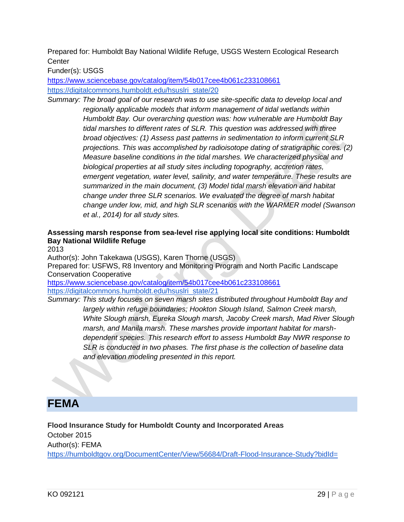Prepared for: Humboldt Bay National Wildlife Refuge, USGS Western Ecological Research **Center** 

Funder(s): USGS

<https://www.sciencebase.gov/catalog/item/54b017cee4b061c233108661> [https://digitalcommons.humboldt.edu/hsuslri\\_state/20](https://digitalcommons.humboldt.edu/hsuslri_state/20)

*Summary: The broad goal of our research was to use site-specific data to develop local and regionally applicable models that inform management of tidal wetlands within Humboldt Bay. Our overarching question was: how vulnerable are Humboldt Bay tidal marshes to different rates of SLR. This question was addressed with three broad objectives: (1) Assess past patterns in sedimentation to inform current SLR projections. This was accomplished by radioisotope dating of stratigraphic cores. (2) Measure baseline conditions in the tidal marshes. We characterized physical and biological properties at all study sites including topography, accretion rates, emergent vegetation, water level, salinity, and water temperature. These results are summarized in the main document, (3) Model tidal marsh elevation and habitat change under three SLR scenarios. We evaluated the degree of marsh habitat change under low, mid, and high SLR scenarios with the WARMER model (Swanson et al., 2014) for all study sites.*

#### **Assessing marsh response from sea-level rise applying local site conditions: Humboldt Bay National Wildlife Refuge**

2013

Author(s): John Takekawa (USGS), Karen Thorne (USGS) Prepared for: USFWS, R8 Inventory and Monitoring Program and North Pacific Landscape Conservation Cooperative <https://www.sciencebase.gov/catalog/item/54b017cee4b061c233108661>

[https://digitalcommons.humboldt.edu/hsuslri\\_state/21](https://digitalcommons.humboldt.edu/hsuslri_state/21)

*Summary: This study focuses on seven marsh sites distributed throughout Humboldt Bay and largely within refuge boundaries; Hookton Slough Island, Salmon Creek marsh, White Slough marsh, Eureka Slough marsh, Jacoby Creek marsh, Mad River Slough marsh, and Manila marsh. These marshes provide important habitat for marshdependent species. This research effort to assess Humboldt Bay NWR response to SLR is conducted in two phases. The first phase is the collection of baseline data and elevation modeling presented in this report.*

### <span id="page-31-0"></span>**FEMA**

**Flood Insurance Study for Humboldt County and Incorporated Areas** October 2015 Author(s): FEMA <https://humboldtgov.org/DocumentCenter/View/56684/Draft-Flood-Insurance-Study?bidId=>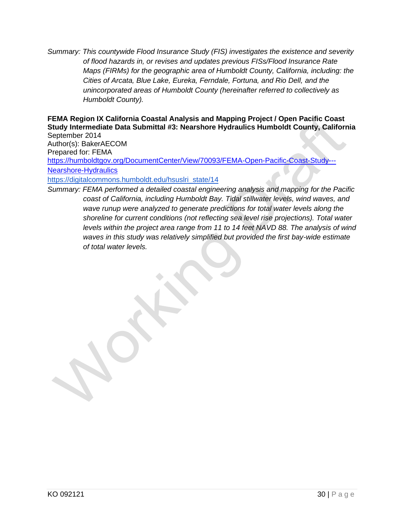*Summary: This countywide Flood Insurance Study (FIS) investigates the existence and severity of flood hazards in, or revises and updates previous FISs/Flood Insurance Rate Maps (FIRMs) for the geographic area of Humboldt County, California, including: the Cities of Arcata, Blue Lake, Eureka, Ferndale, Fortuna, and Rio Dell, and the unincorporated areas of Humboldt County (hereinafter referred to collectively as Humboldt County).*

**FEMA Region IX California Coastal Analysis and Mapping Project / Open Pacific Coast Study Intermediate Data Submittal #3: Nearshore Hydraulics Humboldt County, California** September 2014

Author(s): BakerAECOM Prepared for: FEMA [https://humboldtgov.org/DocumentCenter/View/70093/FEMA-Open-Pacific-Coast-Study---](https://humboldtgov.org/DocumentCenter/View/70093/FEMA-Open-Pacific-Coast-Study---Nearshore-Hydraulics) [Nearshore-Hydraulics](https://humboldtgov.org/DocumentCenter/View/70093/FEMA-Open-Pacific-Coast-Study---Nearshore-Hydraulics) [https://digitalcommons.humboldt.edu/hsuslri\\_state/14](https://digitalcommons.humboldt.edu/hsuslri_state/14)

*Summary: FEMA performed a detailed coastal engineering analysis and mapping for the Pacific coast of California, including Humboldt Bay. Tidal stillwater levels, wind waves, and wave runup were analyzed to generate predictions for total water levels along the shoreline for current conditions (not reflecting sea level rise projections). Total water levels within the project area range from 11 to 14 feet NAVD 88. The analysis of wind waves in this study was relatively simplified but provided the first bay-wide estimate of total water levels.*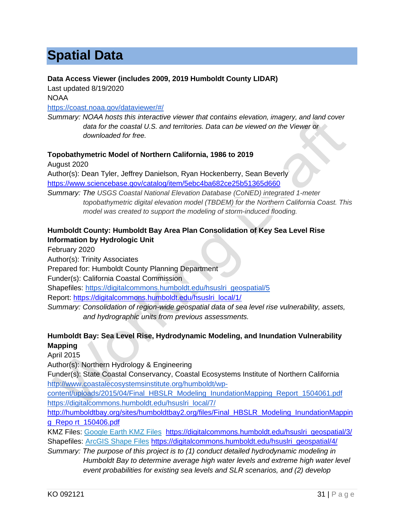# <span id="page-33-0"></span>**Spatial Data**

#### **Data Access Viewer (includes 2009, 2019 Humboldt County LIDAR)**

Last updated 8/19/2020 NOAA

#### <https://coast.noaa.gov/dataviewer/#/>

*Summary: NOAA hosts this interactive viewer that contains elevation, imagery, and land cover data for the coastal U.S. and territories. Data can be viewed on the Viewer or downloaded for free.* 

#### **Topobathymetric Model of Northern California, 1986 to 2019**

August 2020 Author(s): Dean Tyler, Jeffrey Danielson, Ryan Hockenberry, Sean Beverly <https://www.sciencebase.gov/catalog/item/5ebc4ba682ce25b51365d660> *Summary: The USGS Coastal National Elevation Database (CoNED) integrated 1-meter topobathymetric digital elevation model (TBDEM) for the Northern California Coast. This model was created to support the modeling of storm-induced flooding.* 

#### **Humboldt County: Humboldt Bay Area Plan Consolidation of Key Sea Level Rise Information by Hydrologic Unit**

February 2020

Author(s): Trinity Associates

Prepared for: Humboldt County Planning Department

Funder(s): California Coastal Commission

Shapefiles: [https://digitalcommons.humboldt.edu/hsuslri\\_geospatial/5](https://digitalcommons.humboldt.edu/hsuslri_geospatial/5)

Report: [https://digitalcommons.humboldt.edu/hsuslri\\_local/1/](https://digitalcommons.humboldt.edu/hsuslri_local/1/)

*Summary: Consolidation of region-wide geospatial data of sea level rise vulnerability, assets, and hydrographic units from previous assessments.* 

#### **Humboldt Bay: Sea Level Rise, Hydrodynamic Modeling, and Inundation Vulnerability Mapping**

April 2015

Author(s): Northern Hydrology & Engineering

Funder(s): State Coastal Conservancy, Coastal Ecosystems Institute of Northern California [http://www.coastalecosystemsinstitute.org/humboldt/wp-](http://www.coastalecosystemsinstitute.org/humboldt/wp-content/uploads/2015/04/Final_HBSLR_Modeling_InundationMapping_Report_1504061.pdf)

[content/uploads/2015/04/Final\\_HBSLR\\_Modeling\\_InundationMapping\\_Report\\_1504061.pdf](http://www.coastalecosystemsinstitute.org/humboldt/wp-content/uploads/2015/04/Final_HBSLR_Modeling_InundationMapping_Report_1504061.pdf) [https://digitalcommons.humboldt.edu/hsuslri\\_local/7/](https://digitalcommons.humboldt.edu/hsuslri_local/7/)

[http://humboldtbay.org/sites/humboldtbay2.org/files/Final\\_HBSLR\\_Modeling\\_InundationMappin](http://humboldtbay.org/sites/humboldtbay2.org/files/Final_HBSLR_Modeling_InundationMapping_Repo%20rt_150406.pdf) [g\\_Repo rt\\_150406.pdf](http://humboldtbay.org/sites/humboldtbay2.org/files/Final_HBSLR_Modeling_InundationMapping_Repo%20rt_150406.pdf)

KMZ Files: [Google Earth KMZ Files](http://www.coastalecosystemsinstitute.org/humboldt/wp-content/uploads/2015/04/Generalized_KMZ_Files.zip) [https://digitalcommons.humboldt.edu/hsuslri\\_geospatial/3/](https://digitalcommons.humboldt.edu/hsuslri_geospatial/3/) Shapefiles: [ArcGIS Shape Files](http://www.coastalecosystemsinstitute.org/humboldt/wp-content/uploads/2015/04/Generalized_Shape_Files.zip) [https://digitalcommons.humboldt.edu/hsuslri\\_geospatial/4/](https://digitalcommons.humboldt.edu/hsuslri_geospatial/4/)

*Summary: The purpose of this project is to (1) conduct detailed hydrodynamic modeling in Humboldt Bay to determine average high water levels and extreme high water level event probabilities for existing sea levels and SLR scenarios, and (2) develop*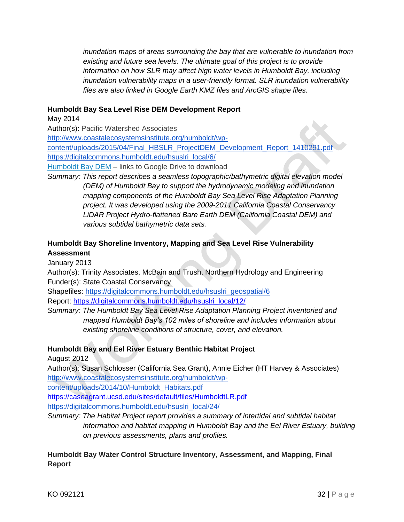*inundation maps of areas surrounding the bay that are vulnerable to inundation from existing and future sea levels. The ultimate goal of this project is to provide information on how SLR may affect high water levels in Humboldt Bay, including inundation vulnerability maps in a user-friendly format. SLR inundation vulnerability files are also linked in Google Earth KMZ files and ArcGIS shape files.*

#### **Humboldt Bay Sea Level Rise DEM Development Report**

#### May 2014

Author(s): Pacific Watershed Associates

[http://www.coastalecosystemsinstitute.org/humboldt/wp-](http://www.coastalecosystemsinstitute.org/humboldt/wp-content/uploads/2015/04/Final_HBSLR_ProjectDEM_Development_Report_1410291.pdf)

[content/uploads/2015/04/Final\\_HBSLR\\_ProjectDEM\\_Development\\_Report\\_1410291.pdf](http://www.coastalecosystemsinstitute.org/humboldt/wp-content/uploads/2015/04/Final_HBSLR_ProjectDEM_Development_Report_1410291.pdf) [https://digitalcommons.humboldt.edu/hsuslri\\_local/6/](https://digitalcommons.humboldt.edu/hsuslri_local/6/)

[Humboldt Bay DEM](https://drive.google.com/folderview?id=0B5UPzlQQQ5abMEE2OGpLcjk2QjQ&usp=sharing) – links to Google Drive to download

*Summary: This report describes a seamless topographic/bathymetric digital elevation model (DEM) of Humboldt Bay to support the hydrodynamic modeling and inundation mapping components of the Humboldt Bay Sea Level Rise Adaptation Planning project. It was developed using the 2009-2011 California Coastal Conservancy LiDAR Project Hydro-flattened Bare Earth DEM (California Coastal DEM) and various subtidal bathymetric data sets.*

#### **Humboldt Bay Shoreline Inventory, Mapping and Sea Level Rise Vulnerability Assessment**

January 2013

Author(s): Trinity Associates, McBain and Trush, Northern Hydrology and Engineering Funder(s): State Coastal Conservancy

Shapefiles: [https://digitalcommons.humboldt.edu/hsuslri\\_geospatial/6](https://digitalcommons.humboldt.edu/hsuslri_geospatial/6) Report: [https://digitalcommons.humboldt.edu/hsuslri\\_local/12/](https://digitalcommons.humboldt.edu/hsuslri_local/12/)

*Summary: The Humboldt Bay Sea Level Rise Adaptation Planning Project inventoried and mapped Humboldt Bay's 102 miles of shoreline and includes information about existing shoreline conditions of structure, cover, and elevation.*

#### **Humboldt Bay and Eel River Estuary Benthic Habitat Project**

August 2012

Author(s): Susan Schlosser (California Sea Grant), Annie Eicher (HT Harvey & Associates) [http://www.coastalecosystemsinstitute.org/humboldt/wp-](http://www.coastalecosystemsinstitute.org/humboldt/wp-content/uploads/2014/10/Humboldt_Habitats.pdf)

[content/uploads/2014/10/Humboldt\\_Habitats.pdf](http://www.coastalecosystemsinstitute.org/humboldt/wp-content/uploads/2014/10/Humboldt_Habitats.pdf)

https://caseagrant.ucsd.edu/sites/default/files/HumboldtLR.pdf

[https://digitalcommons.humboldt.edu/hsuslri\\_local/24/](https://digitalcommons.humboldt.edu/hsuslri_local/24/)

*Summary: The Habitat Project report provides a summary of intertidal and subtidal habitat information and habitat mapping in Humboldt Bay and the Eel River Estuary, building on previous assessments, plans and profiles.*

#### **Humboldt Bay Water Control Structure Inventory, Assessment, and Mapping, Final Report**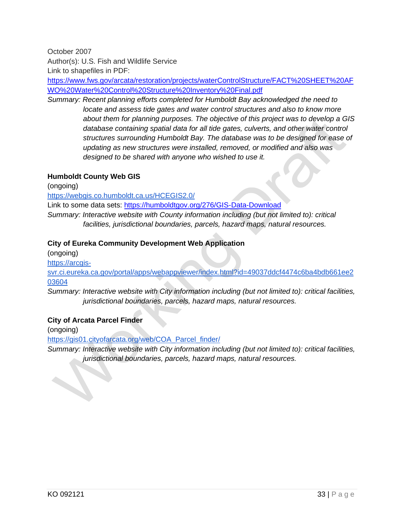October 2007

Author(s): U.S. Fish and Wildlife Service

Link to shapefiles in PDF:

[https://www.fws.gov/arcata/restoration/projects/waterControlStructure/FACT%20SHEET%20AF](https://www.fws.gov/arcata/restoration/projects/waterControlStructure/FACT%20SHEET%20AFWO%20Water%20Control%20Structure%20Inventory%20Final.pdf) [WO%20Water%20Control%20Structure%20Inventory%20Final.pdf](https://www.fws.gov/arcata/restoration/projects/waterControlStructure/FACT%20SHEET%20AFWO%20Water%20Control%20Structure%20Inventory%20Final.pdf)

*Summary: Recent planning efforts completed for Humboldt Bay acknowledged the need to locate and assess tide gates and water control structures and also to know more about them for planning purposes. The objective of this project was to develop a GIS*  database containing spatial data for all tide gates, culverts, and other water control *structures surrounding Humboldt Bay. The database was to be designed for ease of updating as new structures were installed, removed, or modified and also was designed to be shared with anyone who wished to use it.*

#### **Humboldt County Web GIS**

(ongoing)

<https://webgis.co.humboldt.ca.us/HCEGIS2.0/>

Link to some data sets:<https://humboldtgov.org/276/GIS-Data-Download>

*Summary: Interactive website with County information including (but not limited to): critical facilities, jurisdictional boundaries, parcels, hazard maps, natural resources.*

#### **City of Eureka Community Development Web Application**

(ongoing)

[https://arcgis-](https://arcgis-svr.ci.eureka.ca.gov/portal/apps/webappviewer/index.html?id=49037ddcf4474c6ba4bdb661ee203604)

[svr.ci.eureka.ca.gov/portal/apps/webappviewer/index.html?id=49037ddcf4474c6ba4bdb661ee2](https://arcgis-svr.ci.eureka.ca.gov/portal/apps/webappviewer/index.html?id=49037ddcf4474c6ba4bdb661ee203604) [03604](https://arcgis-svr.ci.eureka.ca.gov/portal/apps/webappviewer/index.html?id=49037ddcf4474c6ba4bdb661ee203604)

*Summary: Interactive website with City information including (but not limited to): critical facilities, jurisdictional boundaries, parcels, hazard maps, natural resources.*

#### **City of Arcata Parcel Finder**

(ongoing)

[https://gis01.cityofarcata.org/web/COA\\_Parcel\\_finder/](https://gis01.cityofarcata.org/web/COA_Parcel_finder/)

*Summary: Interactive website with City information including (but not limited to): critical facilities, jurisdictional boundaries, parcels, hazard maps, natural resources.*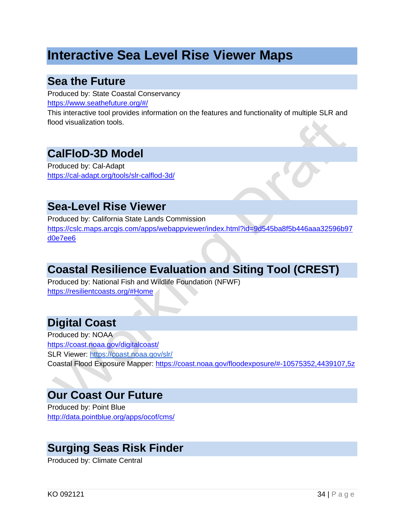# <span id="page-36-0"></span>**Interactive Sea Level Rise Viewer Maps**

### <span id="page-36-1"></span>**Sea the Future**

Produced by: State Coastal Conservancy <https://www.seathefuture.org/#/>

This interactive tool provides information on the features and functionality of multiple SLR and flood visualization tools.

### <span id="page-36-2"></span>**CalFloD-3D Model**

Produced by: Cal-Adapt <https://cal-adapt.org/tools/slr-calflod-3d/>

### <span id="page-36-3"></span>**Sea-Level Rise Viewer**

Produced by: California State Lands Commission [https://cslc.maps.arcgis.com/apps/webappviewer/index.html?id=9d545ba8f5b446aaa32596b97](https://cslc.maps.arcgis.com/apps/webappviewer/index.html?id=9d545ba8f5b446aaa32596b97d0e7ee6) [d0e7ee6](https://cslc.maps.arcgis.com/apps/webappviewer/index.html?id=9d545ba8f5b446aaa32596b97d0e7ee6)

### <span id="page-36-4"></span>**Coastal Resilience Evaluation and Siting Tool (CREST)**

Produced by: National Fish and Wildlife Foundation (NFWF) <https://resilientcoasts.org/#Home>

### <span id="page-36-5"></span>**Digital Coast**

Produced by: NOAA <https://coast.noaa.gov/digitalcoast/> SLR Viewer:<https://coast.noaa.gov/slr/> Coastal Flood Exposure Mapper:<https://coast.noaa.gov/floodexposure/#-10575352,4439107,5z>

### <span id="page-36-6"></span>**Our Coast Our Future**

Produced by: Point Blue <http://data.pointblue.org/apps/ocof/cms/>

### <span id="page-36-7"></span>**Surging Seas Risk Finder**

Produced by: Climate Central